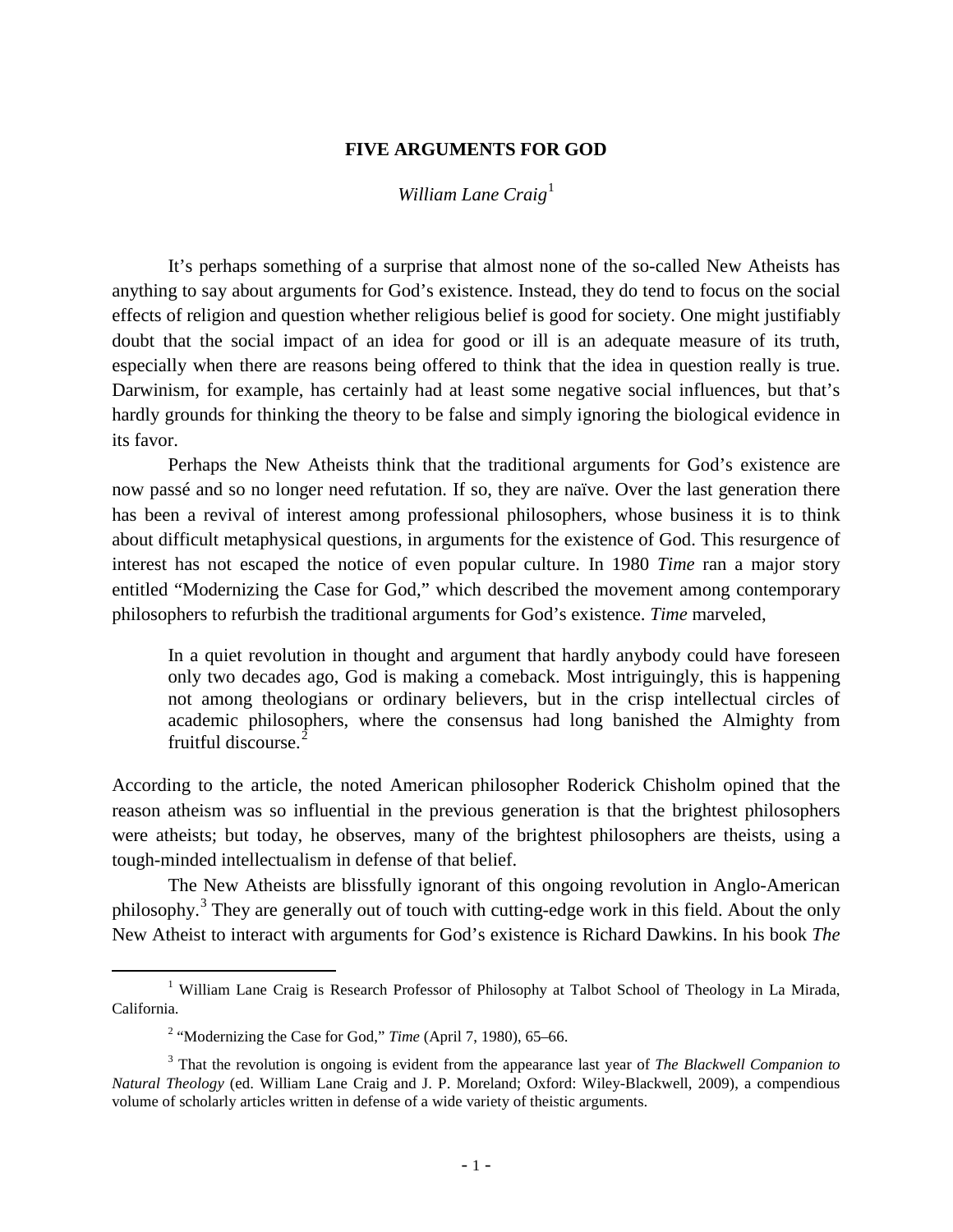### **FIVE ARGUMENTS FOR GOD**

# *William Lane Craig*[1](#page-0-0)

It's perhaps something of a surprise that almost none of the so-called New Atheists has anything to say about arguments for God's existence. Instead, they do tend to focus on the social effects of religion and question whether religious belief is good for society. One might justifiably doubt that the social impact of an idea for good or ill is an adequate measure of its truth, especially when there are reasons being offered to think that the idea in question really is true. Darwinism, for example, has certainly had at least some negative social influences, but that's hardly grounds for thinking the theory to be false and simply ignoring the biological evidence in its favor.

Perhaps the New Atheists think that the traditional arguments for God's existence are now passé and so no longer need refutation. If so, they are naïve. Over the last generation there has been a revival of interest among professional philosophers, whose business it is to think about difficult metaphysical questions, in arguments for the existence of God. This resurgence of interest has not escaped the notice of even popular culture. In 1980 *Time* ran a major story entitled "Modernizing the Case for God," which described the movement among contemporary philosophers to refurbish the traditional arguments for God's existence. *Time* marveled,

In a quiet revolution in thought and argument that hardly anybody could have foreseen only two decades ago, God is making a comeback. Most intriguingly, this is happening not among theologians or ordinary believers, but in the crisp intellectual circles of academic philosophers, where the consensus had long banished the Almighty from fruitful discourse.<sup>[2](#page-0-1)</sup>

According to the article, the noted American philosopher Roderick Chisholm opined that the reason atheism was so influential in the previous generation is that the brightest philosophers were atheists; but today, he observes, many of the brightest philosophers are theists, using a tough-minded intellectualism in defense of that belief.

The New Atheists are blissfully ignorant of this ongoing revolution in Anglo-American philosophy.<sup>[3](#page-0-2)</sup> They are generally out of touch with cutting-edge work in this field. About the only New Atheist to interact with arguments for God's existence is Richard Dawkins. In his book *The* 

<span id="page-0-0"></span><sup>&</sup>lt;sup>1</sup> William Lane Craig is Research Professor of Philosophy at Talbot School of Theology in La Mirada, California.

<sup>2</sup> "Modernizing the Case for God," *Time* (April 7, 1980), 65–66.

<span id="page-0-2"></span><span id="page-0-1"></span><sup>3</sup> That the revolution is ongoing is evident from the appearance last year of *The Blackwell Companion to Natural Theology* (ed. William Lane Craig and J. P. Moreland; Oxford: Wiley-Blackwell, 2009), a compendious volume of scholarly articles written in defense of a wide variety of theistic arguments.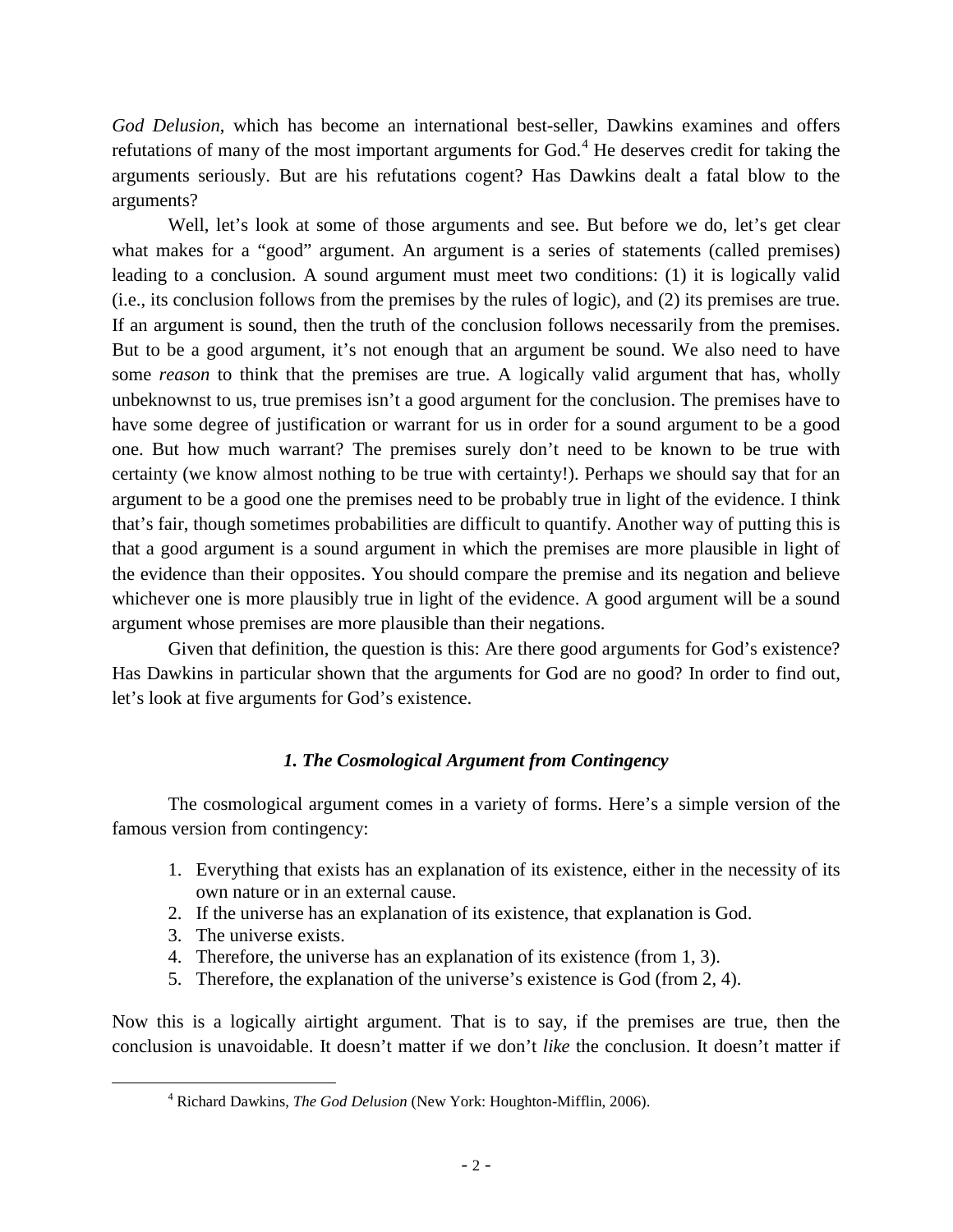*God Delusion*, which has become an international best-seller, Dawkins examines and offers refutations of many of the most important arguments for God.<sup>[4](#page-1-0)</sup> He deserves credit for taking the arguments seriously. But are his refutations cogent? Has Dawkins dealt a fatal blow to the arguments?

Well, let's look at some of those arguments and see. But before we do, let's get clear what makes for a "good" argument. An argument is a series of statements (called premises) leading to a conclusion. A sound argument must meet two conditions: (1) it is logically valid (i.e., its conclusion follows from the premises by the rules of logic), and (2) its premises are true. If an argument is sound, then the truth of the conclusion follows necessarily from the premises. But to be a good argument, it's not enough that an argument be sound. We also need to have some *reason* to think that the premises are true. A logically valid argument that has, wholly unbeknownst to us, true premises isn't a good argument for the conclusion. The premises have to have some degree of justification or warrant for us in order for a sound argument to be a good one. But how much warrant? The premises surely don't need to be known to be true with certainty (we know almost nothing to be true with certainty!). Perhaps we should say that for an argument to be a good one the premises need to be probably true in light of the evidence. I think that's fair, though sometimes probabilities are difficult to quantify. Another way of putting this is that a good argument is a sound argument in which the premises are more plausible in light of the evidence than their opposites. You should compare the premise and its negation and believe whichever one is more plausibly true in light of the evidence. A good argument will be a sound argument whose premises are more plausible than their negations.

Given that definition, the question is this: Are there good arguments for God's existence? Has Dawkins in particular shown that the arguments for God are no good? In order to find out, let's look at five arguments for God's existence.

# *1. The Cosmological Argument from Contingency*

The cosmological argument comes in a variety of forms. Here's a simple version of the famous version from contingency:

- 1. Everything that exists has an explanation of its existence, either in the necessity of its own nature or in an external cause.
- 2. If the universe has an explanation of its existence, that explanation is God.
- 3. The universe exists.
- 4. Therefore, the universe has an explanation of its existence (from 1, 3).
- 5. Therefore, the explanation of the universe's existence is God (from 2, 4).

<span id="page-1-0"></span>Now this is a logically airtight argument. That is to say, if the premises are true, then the conclusion is unavoidable. It doesn't matter if we don't *like* the conclusion. It doesn't matter if

 <sup>4</sup> Richard Dawkins, *The God Delusion* (New York: Houghton-Mifflin, 2006).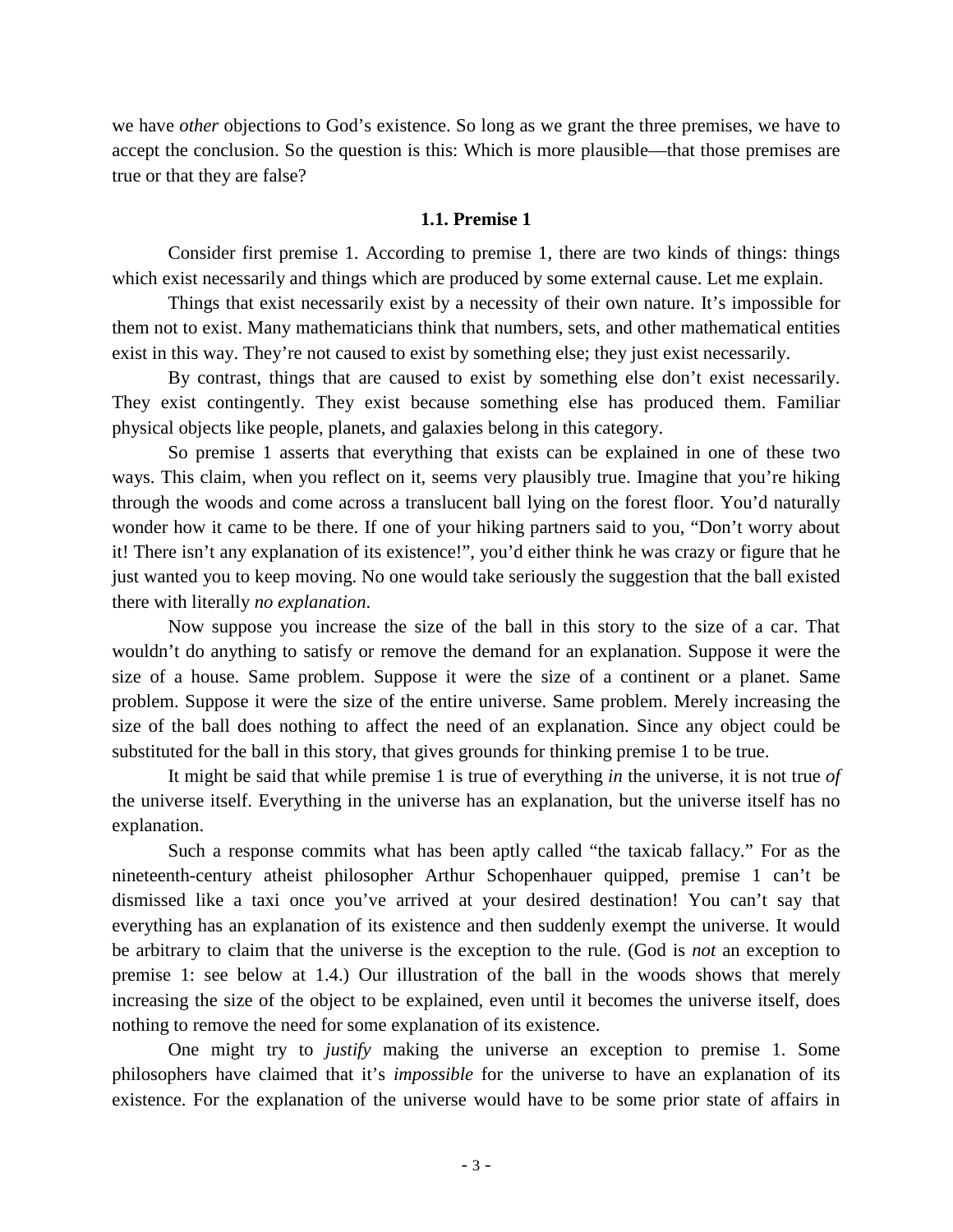we have *other* objections to God's existence. So long as we grant the three premises, we have to accept the conclusion. So the question is this: Which is more plausible—that those premises are true or that they are false?

### **1.1. Premise 1**

Consider first premise 1. According to premise 1, there are two kinds of things: things which exist necessarily and things which are produced by some external cause. Let me explain.

Things that exist necessarily exist by a necessity of their own nature. It's impossible for them not to exist. Many mathematicians think that numbers, sets, and other mathematical entities exist in this way. They're not caused to exist by something else; they just exist necessarily.

By contrast, things that are caused to exist by something else don't exist necessarily. They exist contingently. They exist because something else has produced them. Familiar physical objects like people, planets, and galaxies belong in this category.

So premise 1 asserts that everything that exists can be explained in one of these two ways. This claim, when you reflect on it, seems very plausibly true. Imagine that you're hiking through the woods and come across a translucent ball lying on the forest floor. You'd naturally wonder how it came to be there. If one of your hiking partners said to you, "Don't worry about it! There isn't any explanation of its existence!", you'd either think he was crazy or figure that he just wanted you to keep moving. No one would take seriously the suggestion that the ball existed there with literally *no explanation*.

Now suppose you increase the size of the ball in this story to the size of a car. That wouldn't do anything to satisfy or remove the demand for an explanation. Suppose it were the size of a house. Same problem. Suppose it were the size of a continent or a planet. Same problem. Suppose it were the size of the entire universe. Same problem. Merely increasing the size of the ball does nothing to affect the need of an explanation. Since any object could be substituted for the ball in this story, that gives grounds for thinking premise 1 to be true.

It might be said that while premise 1 is true of everything *in* the universe, it is not true *of*  the universe itself. Everything in the universe has an explanation, but the universe itself has no explanation.

Such a response commits what has been aptly called "the taxicab fallacy." For as the nineteenth-century atheist philosopher Arthur Schopenhauer quipped, premise 1 can't be dismissed like a taxi once you've arrived at your desired destination! You can't say that everything has an explanation of its existence and then suddenly exempt the universe. It would be arbitrary to claim that the universe is the exception to the rule. (God is *not* an exception to premise 1: see below at 1.4.) Our illustration of the ball in the woods shows that merely increasing the size of the object to be explained, even until it becomes the universe itself, does nothing to remove the need for some explanation of its existence.

One might try to *justify* making the universe an exception to premise 1. Some philosophers have claimed that it's *impossible* for the universe to have an explanation of its existence. For the explanation of the universe would have to be some prior state of affairs in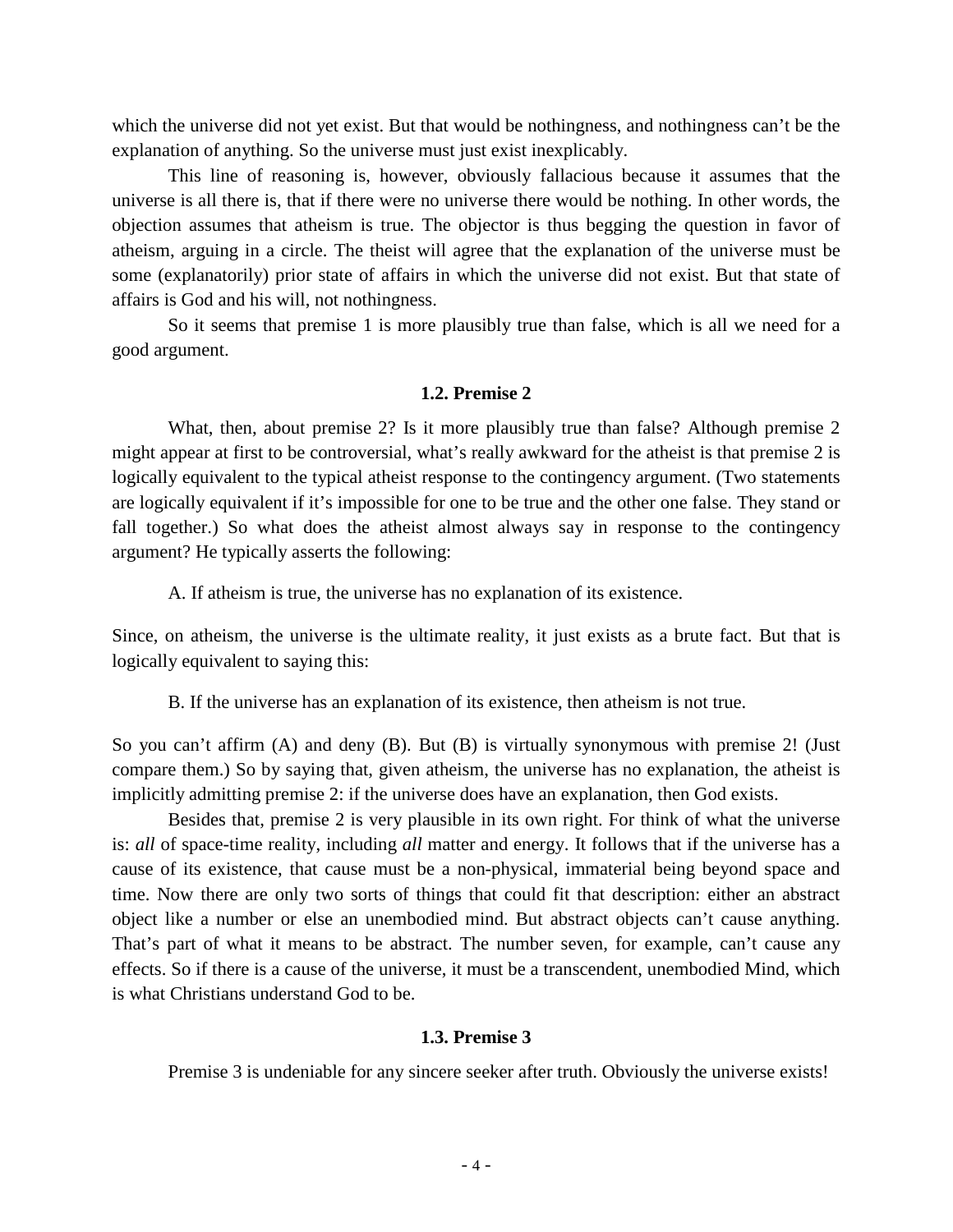which the universe did not yet exist. But that would be nothingness, and nothingness can't be the explanation of anything. So the universe must just exist inexplicably.

This line of reasoning is, however, obviously fallacious because it assumes that the universe is all there is, that if there were no universe there would be nothing. In other words, the objection assumes that atheism is true. The objector is thus begging the question in favor of atheism, arguing in a circle. The theist will agree that the explanation of the universe must be some (explanatorily) prior state of affairs in which the universe did not exist. But that state of affairs is God and his will, not nothingness.

So it seems that premise 1 is more plausibly true than false, which is all we need for a good argument.

### **1.2. Premise 2**

What, then, about premise 2? Is it more plausibly true than false? Although premise 2 might appear at first to be controversial, what's really awkward for the atheist is that premise 2 is logically equivalent to the typical atheist response to the contingency argument. (Two statements are logically equivalent if it's impossible for one to be true and the other one false. They stand or fall together.) So what does the atheist almost always say in response to the contingency argument? He typically asserts the following:

A. If atheism is true, the universe has no explanation of its existence.

Since, on atheism, the universe is the ultimate reality, it just exists as a brute fact. But that is logically equivalent to saying this:

B. If the universe has an explanation of its existence, then atheism is not true.

So you can't affirm (A) and deny (B). But (B) is virtually synonymous with premise 2! (Just compare them.) So by saying that, given atheism, the universe has no explanation, the atheist is implicitly admitting premise 2: if the universe does have an explanation, then God exists.

Besides that, premise 2 is very plausible in its own right. For think of what the universe is: *all* of space-time reality, including *all* matter and energy. It follows that if the universe has a cause of its existence, that cause must be a non-physical, immaterial being beyond space and time. Now there are only two sorts of things that could fit that description: either an abstract object like a number or else an unembodied mind. But abstract objects can't cause anything. That's part of what it means to be abstract. The number seven, for example, can't cause any effects. So if there is a cause of the universe, it must be a transcendent, unembodied Mind, which is what Christians understand God to be.

### **1.3. Premise 3**

Premise 3 is undeniable for any sincere seeker after truth. Obviously the universe exists!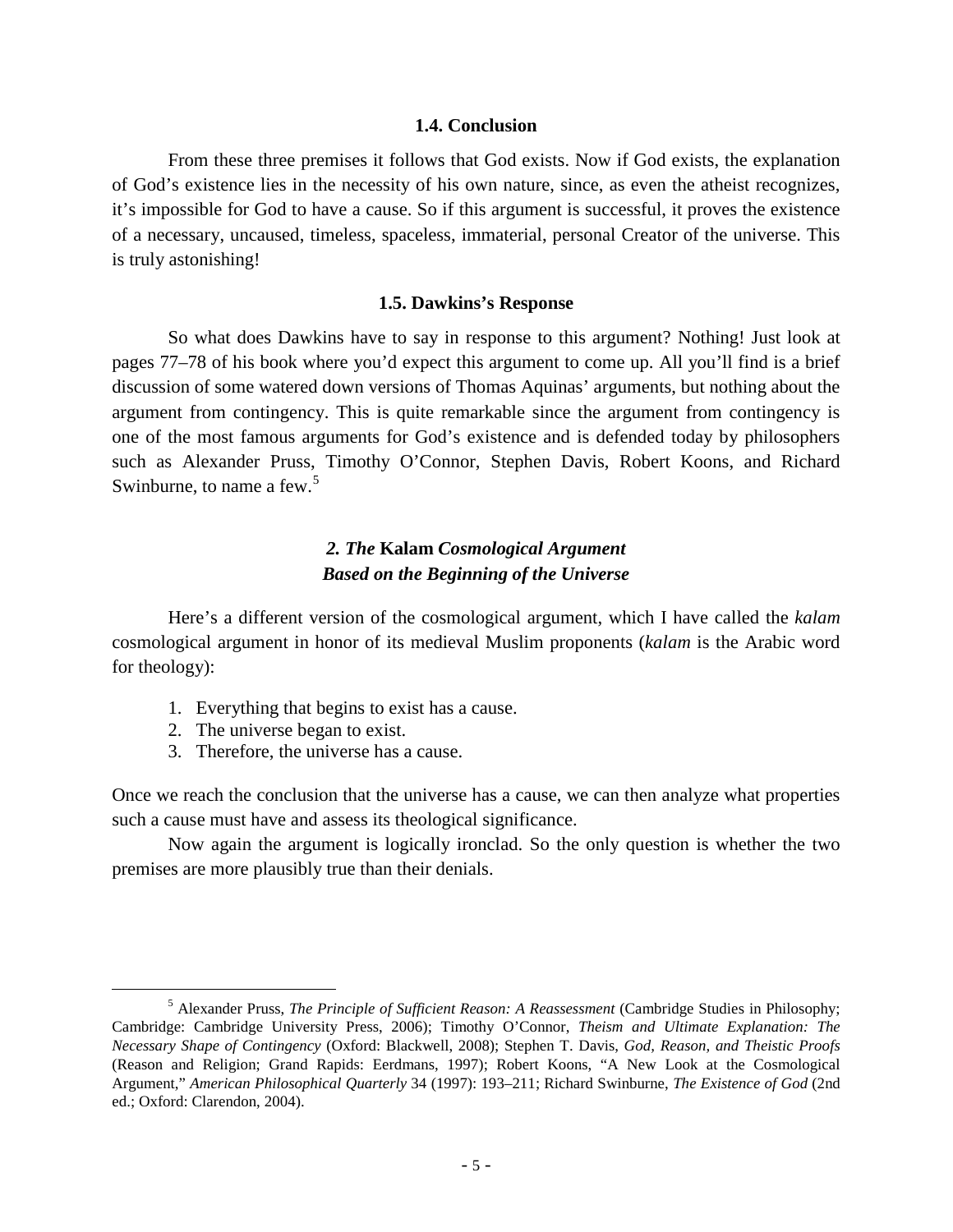#### **1.4. Conclusion**

From these three premises it follows that God exists. Now if God exists, the explanation of God's existence lies in the necessity of his own nature, since, as even the atheist recognizes, it's impossible for God to have a cause. So if this argument is successful, it proves the existence of a necessary, uncaused, timeless, spaceless, immaterial, personal Creator of the universe. This is truly astonishing!

### **1.5. Dawkins's Response**

So what does Dawkins have to say in response to this argument? Nothing! Just look at pages 77–78 of his book where you'd expect this argument to come up. All you'll find is a brief discussion of some watered down versions of Thomas Aquinas' arguments, but nothing about the argument from contingency. This is quite remarkable since the argument from contingency is one of the most famous arguments for God's existence and is defended today by philosophers such as Alexander Pruss, Timothy O'Connor, Stephen Davis, Robert Koons, and Richard Swinburne, to name a few. $5$ 

# *2. The* **Kalam** *Cosmological Argument Based on the Beginning of the Universe*

Here's a different version of the cosmological argument, which I have called the *kalam* cosmological argument in honor of its medieval Muslim proponents (*kalam* is the Arabic word for theology):

- 1. Everything that begins to exist has a cause.
- 2. The universe began to exist.
- 3. Therefore, the universe has a cause.

Once we reach the conclusion that the universe has a cause, we can then analyze what properties such a cause must have and assess its theological significance.

Now again the argument is logically ironclad. So the only question is whether the two premises are more plausibly true than their denials.

<span id="page-4-0"></span> <sup>5</sup> Alexander Pruss, *The Principle of Sufficient Reason: A Reassessment* (Cambridge Studies in Philosophy; Cambridge: Cambridge University Press, 2006); Timothy O'Connor, *Theism and Ultimate Explanation: The Necessary Shape of Contingency* (Oxford: Blackwell, 2008); Stephen T. Davis, *God, Reason, and Theistic Proofs* (Reason and Religion; Grand Rapids: Eerdmans, 1997); Robert Koons, "A New Look at the Cosmological Argument," *American Philosophical Quarterly* 34 (1997): 193–211; Richard Swinburne, *The Existence of God* (2nd ed.; Oxford: Clarendon, 2004).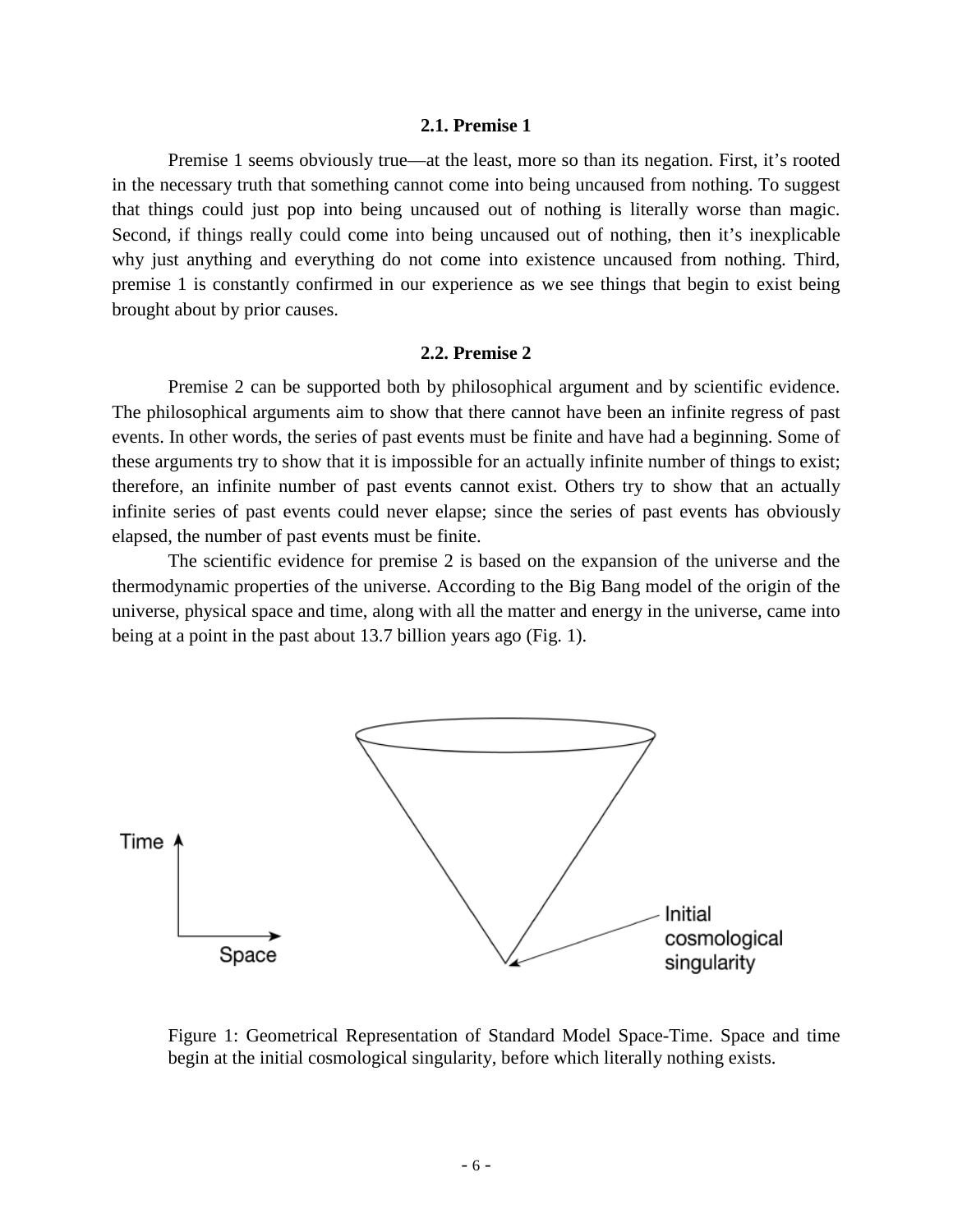#### **2.1. Premise 1**

Premise 1 seems obviously true—at the least, more so than its negation. First, it's rooted in the necessary truth that something cannot come into being uncaused from nothing. To suggest that things could just pop into being uncaused out of nothing is literally worse than magic. Second, if things really could come into being uncaused out of nothing, then it's inexplicable why just anything and everything do not come into existence uncaused from nothing. Third, premise 1 is constantly confirmed in our experience as we see things that begin to exist being brought about by prior causes.

#### **2.2. Premise 2**

Premise 2 can be supported both by philosophical argument and by scientific evidence. The philosophical arguments aim to show that there cannot have been an infinite regress of past events. In other words, the series of past events must be finite and have had a beginning. Some of these arguments try to show that it is impossible for an actually infinite number of things to exist; therefore, an infinite number of past events cannot exist. Others try to show that an actually infinite series of past events could never elapse; since the series of past events has obviously elapsed, the number of past events must be finite.

The scientific evidence for premise 2 is based on the expansion of the universe and the thermodynamic properties of the universe. According to the Big Bang model of the origin of the universe, physical space and time, along with all the matter and energy in the universe, came into being at a point in the past about 13.7 billion years ago (Fig. 1).



Figure 1: Geometrical Representation of Standard Model Space-Time. Space and time begin at the initial cosmological singularity, before which literally nothing exists.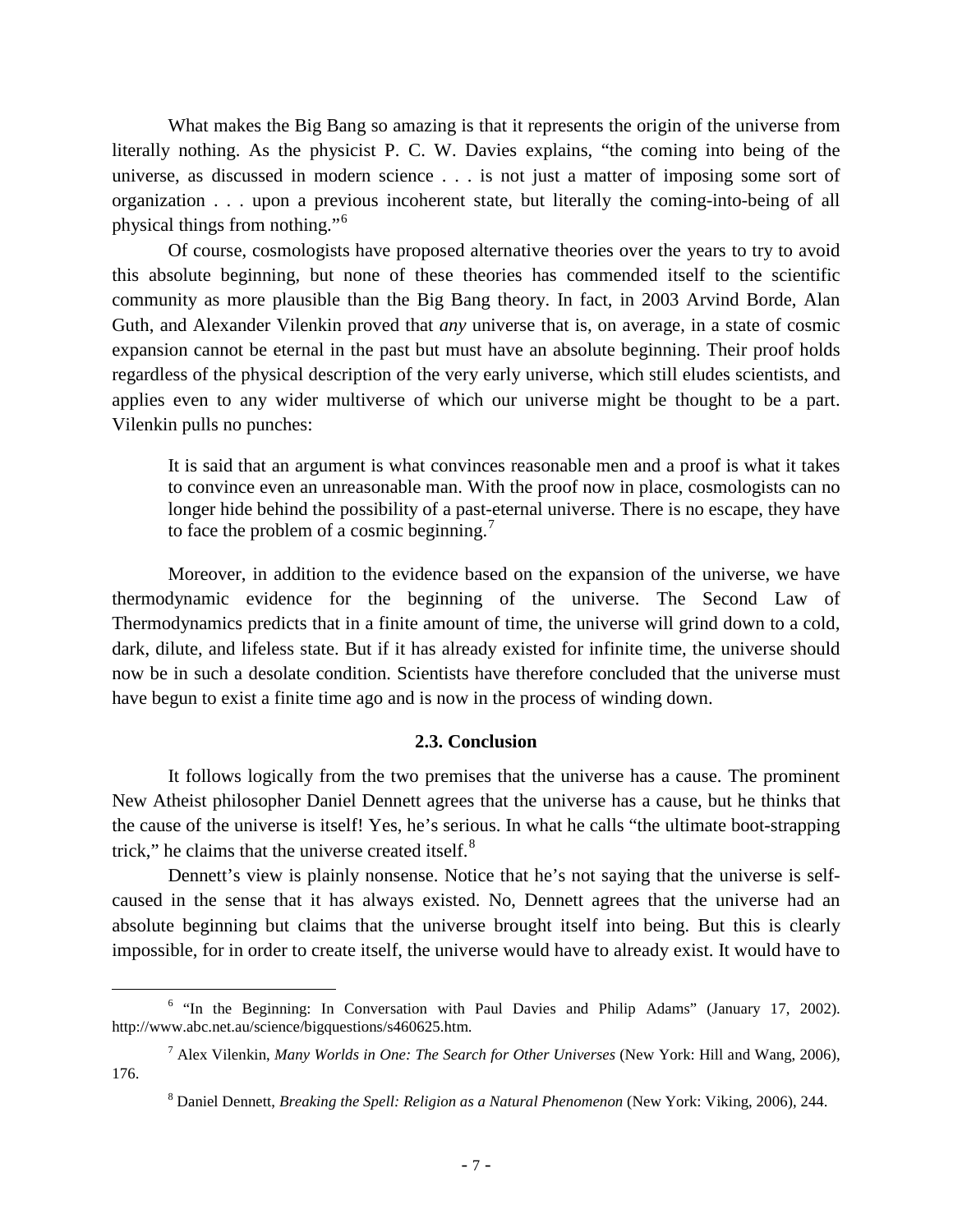What makes the Big Bang so amazing is that it represents the origin of the universe from literally nothing. As the physicist P. C. W. Davies explains, "the coming into being of the universe, as discussed in modern science . . . is not just a matter of imposing some sort of organization . . . upon a previous incoherent state, but literally the coming-into-being of all physical things from nothing."[6](#page-6-0)

Of course, cosmologists have proposed alternative theories over the years to try to avoid this absolute beginning, but none of these theories has commended itself to the scientific community as more plausible than the Big Bang theory. In fact, in 2003 Arvind Borde, Alan Guth, and Alexander Vilenkin proved that *any* universe that is, on average, in a state of cosmic expansion cannot be eternal in the past but must have an absolute beginning. Their proof holds regardless of the physical description of the very early universe, which still eludes scientists, and applies even to any wider multiverse of which our universe might be thought to be a part. Vilenkin pulls no punches:

It is said that an argument is what convinces reasonable men and a proof is what it takes to convince even an unreasonable man. With the proof now in place, cosmologists can no longer hide behind the possibility of a past-eternal universe. There is no escape, they have to face the problem of a cosmic beginning.<sup>[7](#page-6-1)</sup>

Moreover, in addition to the evidence based on the expansion of the universe, we have thermodynamic evidence for the beginning of the universe. The Second Law of Thermodynamics predicts that in a finite amount of time, the universe will grind down to a cold, dark, dilute, and lifeless state. But if it has already existed for infinite time, the universe should now be in such a desolate condition. Scientists have therefore concluded that the universe must have begun to exist a finite time ago and is now in the process of winding down.

### **2.3. Conclusion**

It follows logically from the two premises that the universe has a cause. The prominent New Atheist philosopher Daniel Dennett agrees that the universe has a cause, but he thinks that the cause of the universe is itself! Yes, he's serious. In what he calls "the ultimate boot-strapping trick," he claims that the universe created itself. $8$ 

Dennett's view is plainly nonsense. Notice that he's not saying that the universe is selfcaused in the sense that it has always existed. No, Dennett agrees that the universe had an absolute beginning but claims that the universe brought itself into being. But this is clearly impossible, for in order to create itself, the universe would have to already exist. It would have to

<span id="page-6-0"></span><sup>&</sup>lt;sup>6</sup> "In the Beginning: In Conversation with Paul Davies and Philip Adams" (January 17, 2002). [http://www.abc.net.au/science/bigquestions/s460625.htm.](http://www.abc.net.au/science/bigquestions/s460625.htm)

<span id="page-6-2"></span><span id="page-6-1"></span><sup>7</sup> Alex Vilenkin, *Many Worlds in One: The Search for Other Universes* (New York: Hill and Wang, 2006), 176.

<sup>8</sup> Daniel Dennett, *Breaking the Spell: Religion as a Natural Phenomenon* (New York: Viking, 2006), 244.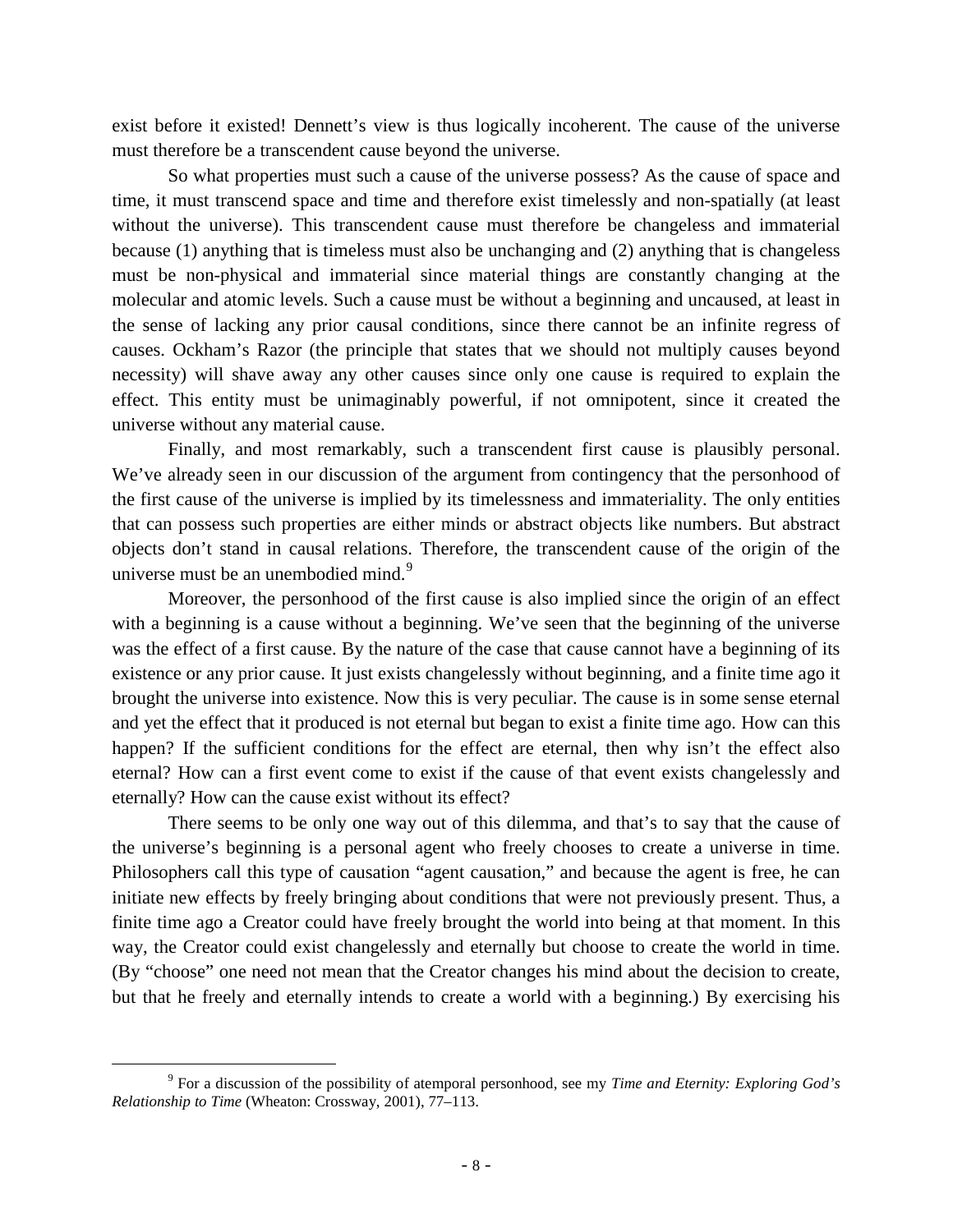exist before it existed! Dennett's view is thus logically incoherent. The cause of the universe must therefore be a transcendent cause beyond the universe.

So what properties must such a cause of the universe possess? As the cause of space and time, it must transcend space and time and therefore exist timelessly and non-spatially (at least without the universe). This transcendent cause must therefore be changeless and immaterial because (1) anything that is timeless must also be unchanging and (2) anything that is changeless must be non-physical and immaterial since material things are constantly changing at the molecular and atomic levels. Such a cause must be without a beginning and uncaused, at least in the sense of lacking any prior causal conditions, since there cannot be an infinite regress of causes. Ockham's Razor (the principle that states that we should not multiply causes beyond necessity) will shave away any other causes since only one cause is required to explain the effect. This entity must be unimaginably powerful, if not omnipotent, since it created the universe without any material cause.

Finally, and most remarkably, such a transcendent first cause is plausibly personal. We've already seen in our discussion of the argument from contingency that the personhood of the first cause of the universe is implied by its timelessness and immateriality. The only entities that can possess such properties are either minds or abstract objects like numbers. But abstract objects don't stand in causal relations. Therefore, the transcendent cause of the origin of the universe must be an unembodied mind.<sup>[9](#page-7-0)</sup>

Moreover, the personhood of the first cause is also implied since the origin of an effect with a beginning is a cause without a beginning. We've seen that the beginning of the universe was the effect of a first cause. By the nature of the case that cause cannot have a beginning of its existence or any prior cause. It just exists changelessly without beginning, and a finite time ago it brought the universe into existence. Now this is very peculiar. The cause is in some sense eternal and yet the effect that it produced is not eternal but began to exist a finite time ago. How can this happen? If the sufficient conditions for the effect are eternal, then why isn't the effect also eternal? How can a first event come to exist if the cause of that event exists changelessly and eternally? How can the cause exist without its effect?

There seems to be only one way out of this dilemma, and that's to say that the cause of the universe's beginning is a personal agent who freely chooses to create a universe in time. Philosophers call this type of causation "agent causation," and because the agent is free, he can initiate new effects by freely bringing about conditions that were not previously present. Thus, a finite time ago a Creator could have freely brought the world into being at that moment. In this way, the Creator could exist changelessly and eternally but choose to create the world in time. (By "choose" one need not mean that the Creator changes his mind about the decision to create, but that he freely and eternally intends to create a world with a beginning.) By exercising his

<span id="page-7-0"></span> <sup>9</sup> For a discussion of the possibility of atemporal personhood, see my *Time and Eternity: Exploring God's Relationship to Time* (Wheaton: Crossway, 2001), 77–113.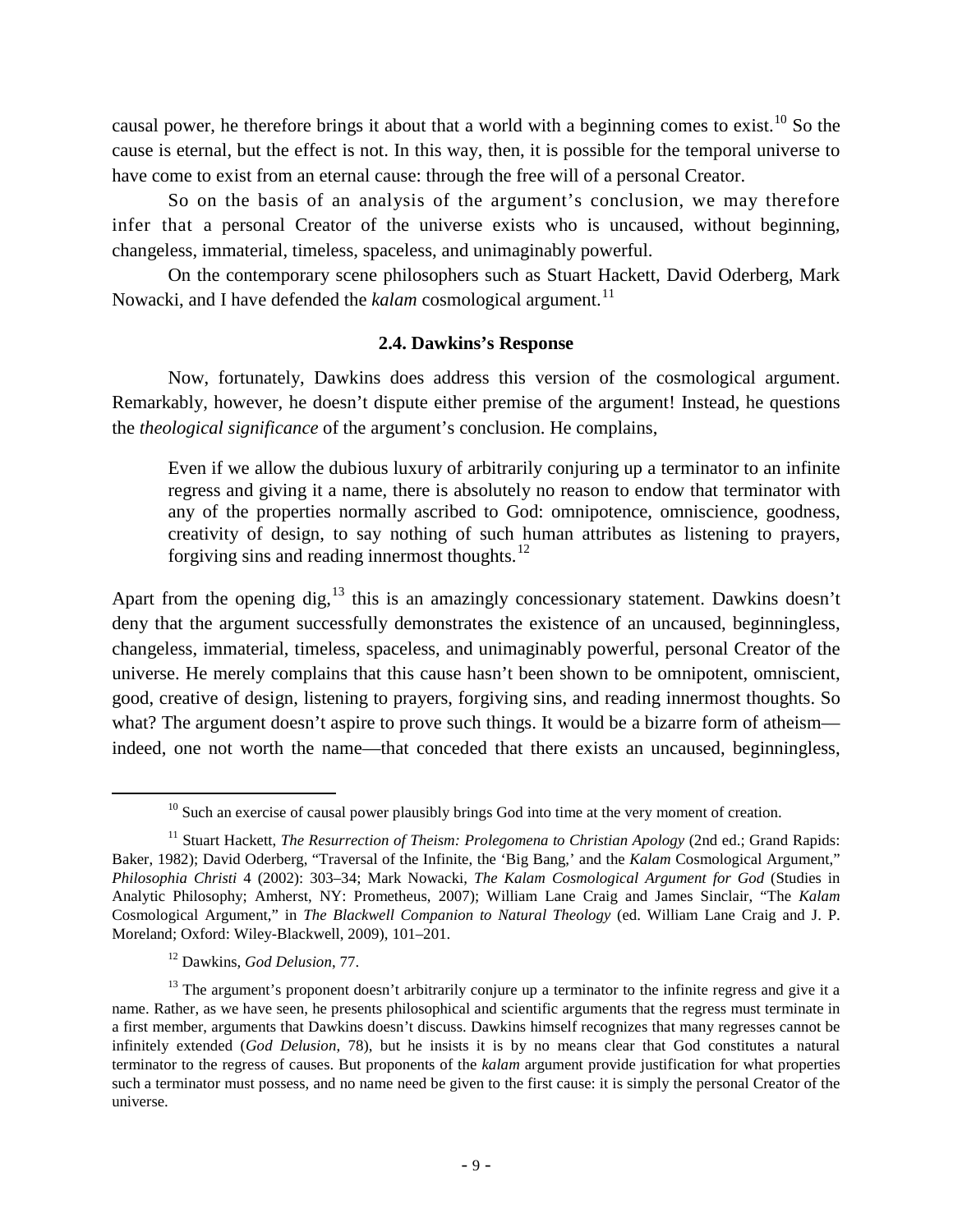causal power, he therefore brings it about that a world with a beginning comes to exist.<sup>[10](#page-8-0)</sup> So the cause is eternal, but the effect is not. In this way, then, it is possible for the temporal universe to have come to exist from an eternal cause: through the free will of a personal Creator.

So on the basis of an analysis of the argument's conclusion, we may therefore infer that a personal Creator of the universe exists who is uncaused, without beginning, changeless, immaterial, timeless, spaceless, and unimaginably powerful.

On the contemporary scene philosophers such as Stuart Hackett, David Oderberg, Mark Nowacki, and I have defended the *kalam* cosmological argument.<sup>[11](#page-8-1)</sup>

## **2.4. Dawkins's Response**

Now, fortunately, Dawkins does address this version of the cosmological argument. Remarkably, however, he doesn't dispute either premise of the argument! Instead, he questions the *theological significance* of the argument's conclusion. He complains,

Even if we allow the dubious luxury of arbitrarily conjuring up a terminator to an infinite regress and giving it a name, there is absolutely no reason to endow that terminator with any of the properties normally ascribed to God: omnipotence, omniscience, goodness, creativity of design, to say nothing of such human attributes as listening to prayers, forgiving sins and reading innermost thoughts.<sup>[12](#page-8-2)</sup>

Apart from the opening dig,  $13$  this is an amazingly concessionary statement. Dawkins doesn't deny that the argument successfully demonstrates the existence of an uncaused, beginningless, changeless, immaterial, timeless, spaceless, and unimaginably powerful, personal Creator of the universe. He merely complains that this cause hasn't been shown to be omnipotent, omniscient, good, creative of design, listening to prayers, forgiving sins, and reading innermost thoughts. So what? The argument doesn't aspire to prove such things. It would be a bizarre form of atheism indeed, one not worth the name—that conceded that there exists an uncaused, beginningless,

 $10$  Such an exercise of causal power plausibly brings God into time at the very moment of creation.

<span id="page-8-1"></span><span id="page-8-0"></span><sup>&</sup>lt;sup>11</sup> Stuart Hackett, *The Resurrection of Theism: Prolegomena to Christian Apology* (2nd ed.; Grand Rapids: Baker, 1982); David Oderberg, "Traversal of the Infinite, the 'Big Bang,' and the *Kalam* Cosmological Argument," *Philosophia Christi* 4 (2002): 303–34; Mark Nowacki, *The Kalam Cosmological Argument for God* (Studies in Analytic Philosophy; Amherst, NY: Prometheus, 2007); William Lane Craig and James Sinclair, "The *Kalam* Cosmological Argument," in *The Blackwell Companion to Natural Theology* (ed. William Lane Craig and J. P. Moreland; Oxford: Wiley-Blackwell, 2009), 101–201.

<sup>12</sup> Dawkins, *God Delusion*, 77.

<span id="page-8-3"></span><span id="page-8-2"></span> $13$  The argument's proponent doesn't arbitrarily conjure up a terminator to the infinite regress and give it a name. Rather, as we have seen, he presents philosophical and scientific arguments that the regress must terminate in a first member, arguments that Dawkins doesn't discuss. Dawkins himself recognizes that many regresses cannot be infinitely extended (*God Delusion*, 78), but he insists it is by no means clear that God constitutes a natural terminator to the regress of causes. But proponents of the *kalam* argument provide justification for what properties such a terminator must possess, and no name need be given to the first cause: it is simply the personal Creator of the universe.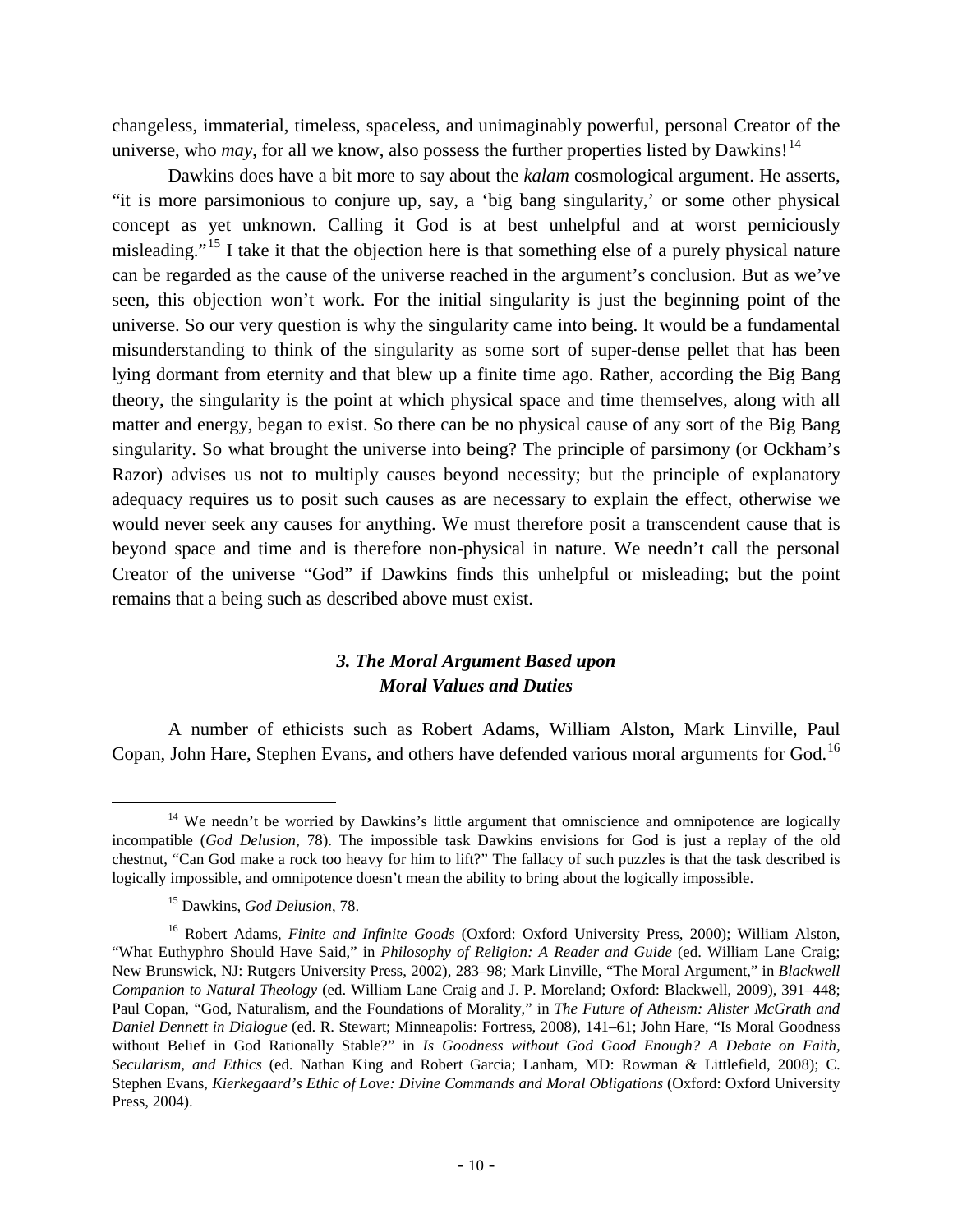changeless, immaterial, timeless, spaceless, and unimaginably powerful, personal Creator of the universe, who *may*, for all we know, also possess the further properties listed by Dawkins!<sup>[14](#page-9-0)</sup>

Dawkins does have a bit more to say about the *kalam* cosmological argument. He asserts, "it is more parsimonious to conjure up, say, a 'big bang singularity,' or some other physical concept as yet unknown. Calling it God is at best unhelpful and at worst perniciously misleading."<sup>[15](#page-9-1)</sup> I take it that the objection here is that something else of a purely physical nature can be regarded as the cause of the universe reached in the argument's conclusion. But as we've seen, this objection won't work. For the initial singularity is just the beginning point of the universe. So our very question is why the singularity came into being. It would be a fundamental misunderstanding to think of the singularity as some sort of super-dense pellet that has been lying dormant from eternity and that blew up a finite time ago. Rather, according the Big Bang theory, the singularity is the point at which physical space and time themselves, along with all matter and energy, began to exist. So there can be no physical cause of any sort of the Big Bang singularity. So what brought the universe into being? The principle of parsimony (or Ockham's Razor) advises us not to multiply causes beyond necessity; but the principle of explanatory adequacy requires us to posit such causes as are necessary to explain the effect, otherwise we would never seek any causes for anything. We must therefore posit a transcendent cause that is beyond space and time and is therefore non-physical in nature. We needn't call the personal Creator of the universe "God" if Dawkins finds this unhelpful or misleading; but the point remains that a being such as described above must exist.

# *3. The Moral Argument Based upon Moral Values and Duties*

A number of ethicists such as Robert Adams, William Alston, Mark Linville, Paul Copan, John Hare, Stephen Evans, and others have defended various moral arguments for God.<sup>[16](#page-9-2)</sup>

<span id="page-9-0"></span><sup>&</sup>lt;sup>14</sup> We needn't be worried by Dawkins's little argument that omniscience and omnipotence are logically incompatible (*God Delusion*, 78). The impossible task Dawkins envisions for God is just a replay of the old chestnut, "Can God make a rock too heavy for him to lift?" The fallacy of such puzzles is that the task described is logically impossible, and omnipotence doesn't mean the ability to bring about the logically impossible.

<sup>15</sup> Dawkins, *God Delusion*, 78.

<span id="page-9-2"></span><span id="page-9-1"></span><sup>&</sup>lt;sup>16</sup> Robert Adams, *Finite and Infinite Goods* (Oxford: Oxford University Press, 2000); William Alston, "What Euthyphro Should Have Said," in *Philosophy of Religion: A Reader and Guide* (ed. William Lane Craig; New Brunswick, NJ: Rutgers University Press, 2002), 283–98; Mark Linville, "The Moral Argument," in *Blackwell Companion to Natural Theology* (ed. William Lane Craig and J. P. Moreland; Oxford: Blackwell, 2009), 391–448; Paul Copan, "God, Naturalism, and the Foundations of Morality," in *The Future of Atheism: Alister McGrath and Daniel Dennett in Dialogue* (ed. R. Stewart; Minneapolis: Fortress, 2008), 141–61; John Hare, "Is Moral Goodness without Belief in God Rationally Stable?" in *Is Goodness without God Good Enough? A Debate on Faith, Secularism, and Ethics* (ed. Nathan King and Robert Garcia; Lanham, MD: Rowman & Littlefield, 2008); C. Stephen Evans, *Kierkegaard's Ethic of Love: Divine Commands and Moral Obligations* (Oxford: Oxford University Press, 2004).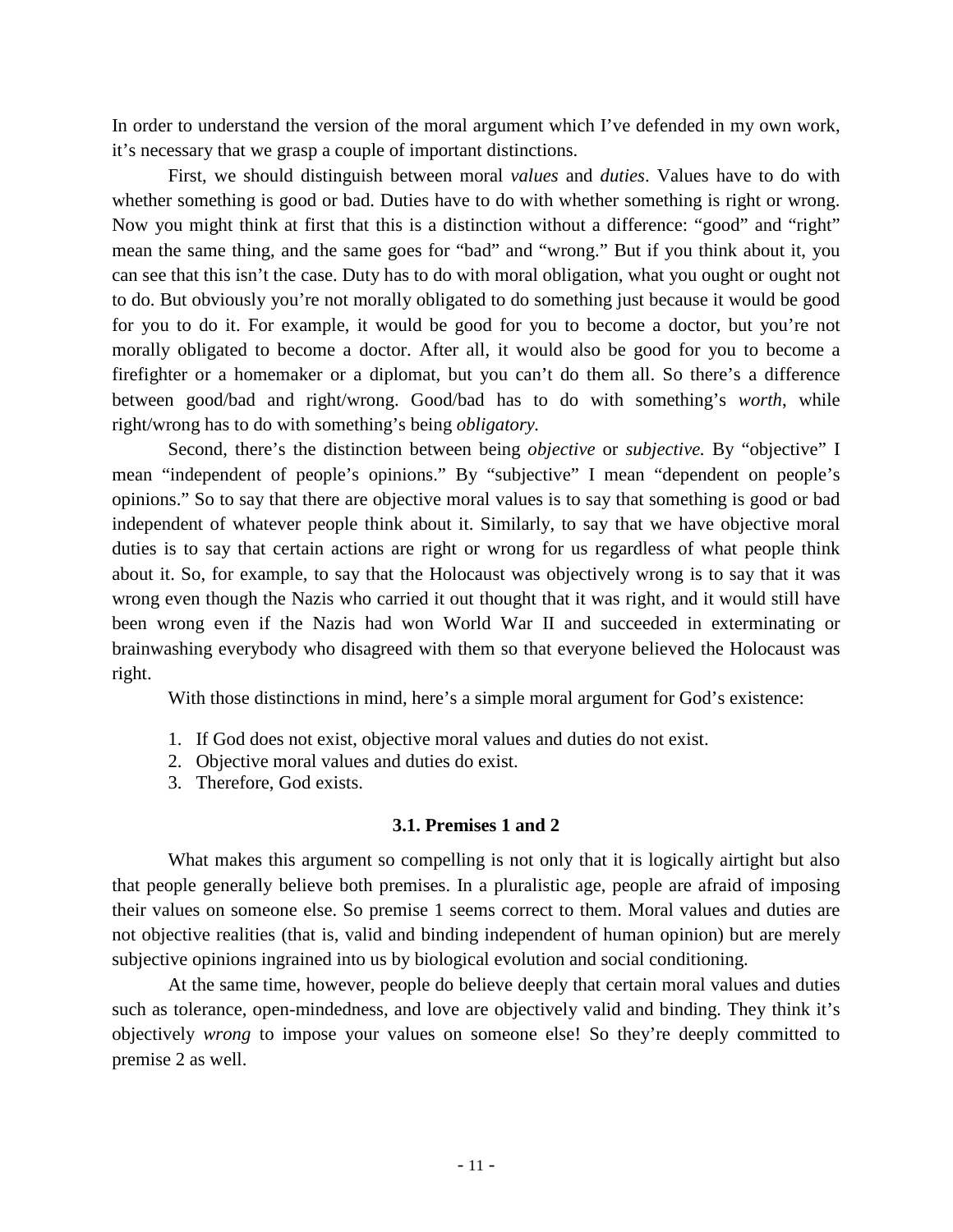In order to understand the version of the moral argument which I've defended in my own work, it's necessary that we grasp a couple of important distinctions.

First, we should distinguish between moral *values* and *duties*. Values have to do with whether something is good or bad. Duties have to do with whether something is right or wrong. Now you might think at first that this is a distinction without a difference: "good" and "right" mean the same thing, and the same goes for "bad" and "wrong." But if you think about it, you can see that this isn't the case. Duty has to do with moral obligation, what you ought or ought not to do. But obviously you're not morally obligated to do something just because it would be good for you to do it. For example, it would be good for you to become a doctor, but you're not morally obligated to become a doctor. After all, it would also be good for you to become a firefighter or a homemaker or a diplomat, but you can't do them all. So there's a difference between good/bad and right/wrong. Good/bad has to do with something's *worth*, while right/wrong has to do with something's being *obligatory.*

Second, there's the distinction between being *objective* or *subjective.* By "objective" I mean "independent of people's opinions." By "subjective" I mean "dependent on people's opinions." So to say that there are objective moral values is to say that something is good or bad independent of whatever people think about it. Similarly, to say that we have objective moral duties is to say that certain actions are right or wrong for us regardless of what people think about it. So, for example, to say that the Holocaust was objectively wrong is to say that it was wrong even though the Nazis who carried it out thought that it was right, and it would still have been wrong even if the Nazis had won World War II and succeeded in exterminating or brainwashing everybody who disagreed with them so that everyone believed the Holocaust was right.

With those distinctions in mind, here's a simple moral argument for God's existence:

- 1. If God does not exist, objective moral values and duties do not exist.
- 2. Objective moral values and duties do exist.
- 3. Therefore, God exists.

### **3.1. Premises 1 and 2**

What makes this argument so compelling is not only that it is logically airtight but also that people generally believe both premises. In a pluralistic age, people are afraid of imposing their values on someone else. So premise 1 seems correct to them. Moral values and duties are not objective realities (that is, valid and binding independent of human opinion) but are merely subjective opinions ingrained into us by biological evolution and social conditioning.

At the same time, however, people do believe deeply that certain moral values and duties such as tolerance, open-mindedness, and love are objectively valid and binding. They think it's objectively *wrong* to impose your values on someone else! So they're deeply committed to premise 2 as well.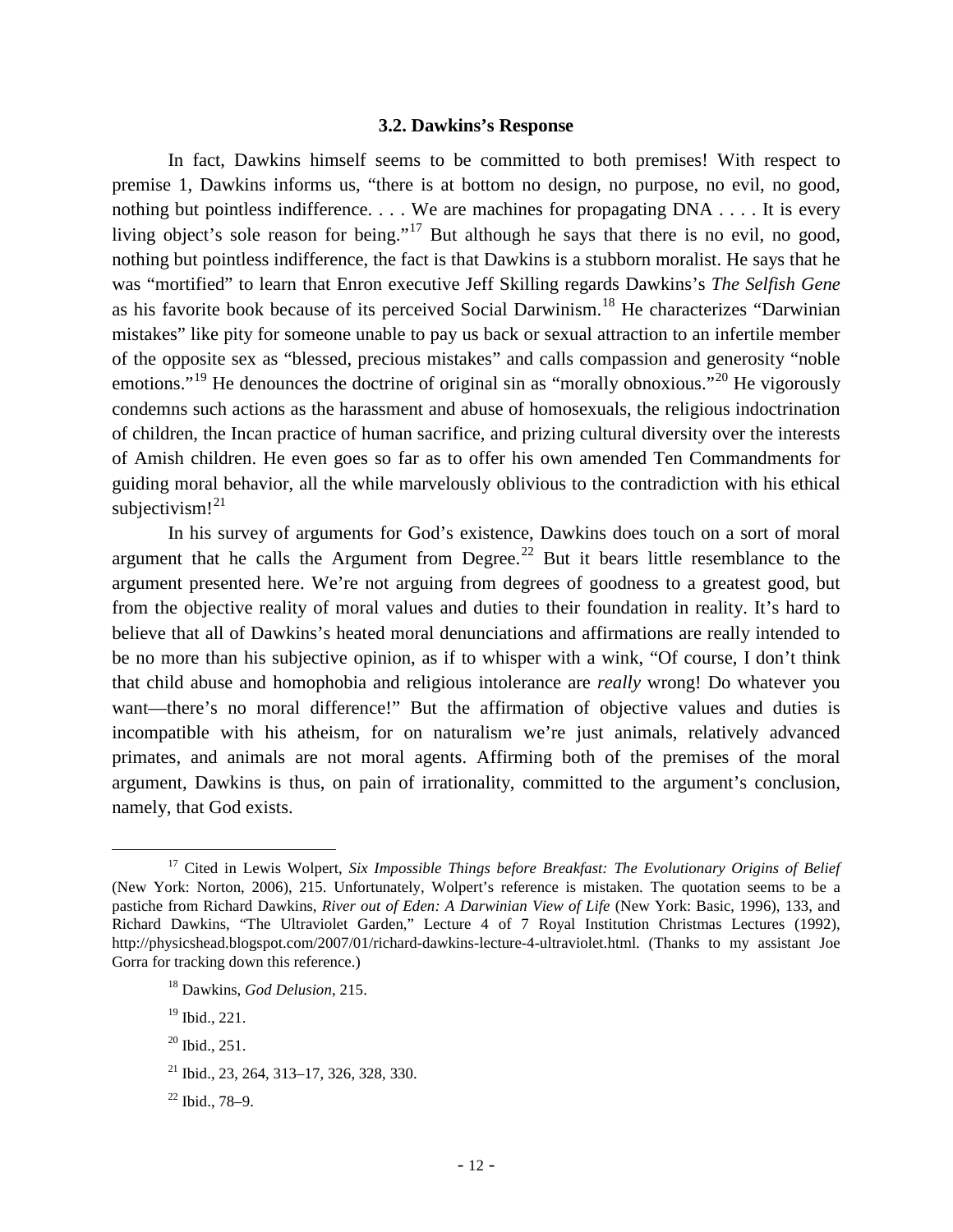#### **3.2. Dawkins's Response**

In fact, Dawkins himself seems to be committed to both premises! With respect to premise 1, Dawkins informs us, "there is at bottom no design, no purpose, no evil, no good, nothing but pointless indifference. . . . We are machines for propagating DNA . . . . It is every living object's sole reason for being."<sup>[17](#page-11-0)</sup> But although he says that there is no evil, no good, nothing but pointless indifference, the fact is that Dawkins is a stubborn moralist. He says that he was "mortified" to learn that Enron executive Jeff Skilling regards Dawkins's *The Selfish Gene* as his favorite book because of its perceived Social Darwinism.<sup>[18](#page-11-1)</sup> He characterizes "Darwinian" mistakes" like pity for someone unable to pay us back or sexual attraction to an infertile member of the opposite sex as "blessed, precious mistakes" and calls compassion and generosity "noble emotions."<sup>[19](#page-11-2)</sup> He denounces the doctrine of original sin as "morally obnoxious."<sup>[20](#page-11-3)</sup> He vigorously condemns such actions as the harassment and abuse of homosexuals, the religious indoctrination of children, the Incan practice of human sacrifice, and prizing cultural diversity over the interests of Amish children. He even goes so far as to offer his own amended Ten Commandments for guiding moral behavior, all the while marvelously oblivious to the contradiction with his ethical subjectivism! $^{21}$  $^{21}$  $^{21}$ 

In his survey of arguments for God's existence, Dawkins does touch on a sort of moral argument that he calls the Argument from Degree.<sup>[22](#page-11-5)</sup> But it bears little resemblance to the argument presented here. We're not arguing from degrees of goodness to a greatest good, but from the objective reality of moral values and duties to their foundation in reality. It's hard to believe that all of Dawkins's heated moral denunciations and affirmations are really intended to be no more than his subjective opinion, as if to whisper with a wink, "Of course, I don't think that child abuse and homophobia and religious intolerance are *really* wrong! Do whatever you want—there's no moral difference!" But the affirmation of objective values and duties is incompatible with his atheism, for on naturalism we're just animals, relatively advanced primates, and animals are not moral agents. Affirming both of the premises of the moral argument, Dawkins is thus, on pain of irrationality, committed to the argument's conclusion, namely, that God exists.

<span id="page-11-1"></span><span id="page-11-0"></span> <sup>17</sup> Cited in Lewis Wolpert, *Six Impossible Things before Breakfast: The Evolutionary Origins of Belief* (New York: Norton, 2006), 215. Unfortunately, Wolpert's reference is mistaken. The quotation seems to be a pastiche from Richard Dawkins, *River out of Eden: A Darwinian View of Life* (New York: Basic, 1996), 133, and Richard Dawkins, "The Ultraviolet Garden," Lecture 4 of 7 Royal Institution Christmas Lectures (1992), http://physicshead.blogspot.com/2007/01/richard-dawkins-lecture-4-ultraviolet.html. (Thanks to my assistant Joe Gorra for tracking down this reference.)

<sup>18</sup> Dawkins, *God Delusion*, 215.

<span id="page-11-2"></span><sup>19</sup> Ibid., 221.

<span id="page-11-3"></span> $20$  Ibid., 251.

<span id="page-11-4"></span><sup>21</sup> Ibid., 23, 264, 313–17, 326, 328, 330.

<span id="page-11-5"></span> $22$  Ibid., 78-9.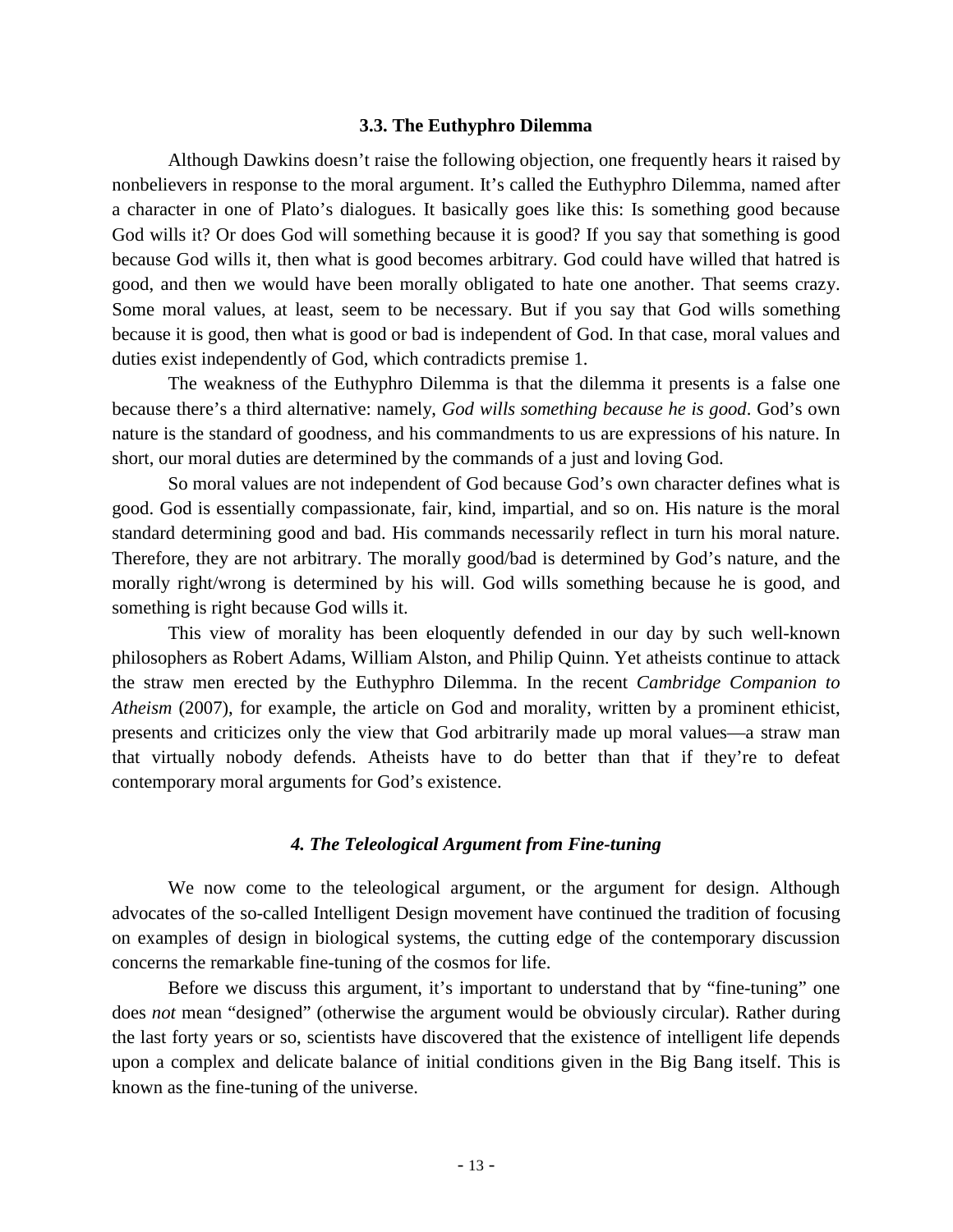#### **3.3. The Euthyphro Dilemma**

Although Dawkins doesn't raise the following objection, one frequently hears it raised by nonbelievers in response to the moral argument. It's called the Euthyphro Dilemma, named after a character in one of Plato's dialogues. It basically goes like this: Is something good because God wills it? Or does God will something because it is good? If you say that something is good because God wills it, then what is good becomes arbitrary. God could have willed that hatred is good, and then we would have been morally obligated to hate one another. That seems crazy. Some moral values, at least, seem to be necessary. But if you say that God wills something because it is good, then what is good or bad is independent of God. In that case, moral values and duties exist independently of God, which contradicts premise 1.

The weakness of the Euthyphro Dilemma is that the dilemma it presents is a false one because there's a third alternative: namely, *God wills something because he is good*. God's own nature is the standard of goodness, and his commandments to us are expressions of his nature. In short, our moral duties are determined by the commands of a just and loving God.

So moral values are not independent of God because God's own character defines what is good. God is essentially compassionate, fair, kind, impartial, and so on. His nature is the moral standard determining good and bad. His commands necessarily reflect in turn his moral nature. Therefore, they are not arbitrary. The morally good/bad is determined by God's nature, and the morally right/wrong is determined by his will. God wills something because he is good, and something is right because God wills it.

This view of morality has been eloquently defended in our day by such well-known philosophers as Robert Adams, William Alston, and Philip Quinn. Yet atheists continue to attack the straw men erected by the Euthyphro Dilemma. In the recent *Cambridge Companion to Atheism* (2007), for example, the article on God and morality, written by a prominent ethicist, presents and criticizes only the view that God arbitrarily made up moral values—a straw man that virtually nobody defends. Atheists have to do better than that if they're to defeat contemporary moral arguments for God's existence.

#### *4. The Teleological Argument from Fine-tuning*

We now come to the teleological argument, or the argument for design. Although advocates of the so-called Intelligent Design movement have continued the tradition of focusing on examples of design in biological systems, the cutting edge of the contemporary discussion concerns the remarkable fine-tuning of the cosmos for life.

Before we discuss this argument, it's important to understand that by "fine-tuning" one does *not* mean "designed" (otherwise the argument would be obviously circular). Rather during the last forty years or so, scientists have discovered that the existence of intelligent life depends upon a complex and delicate balance of initial conditions given in the Big Bang itself. This is known as the fine-tuning of the universe.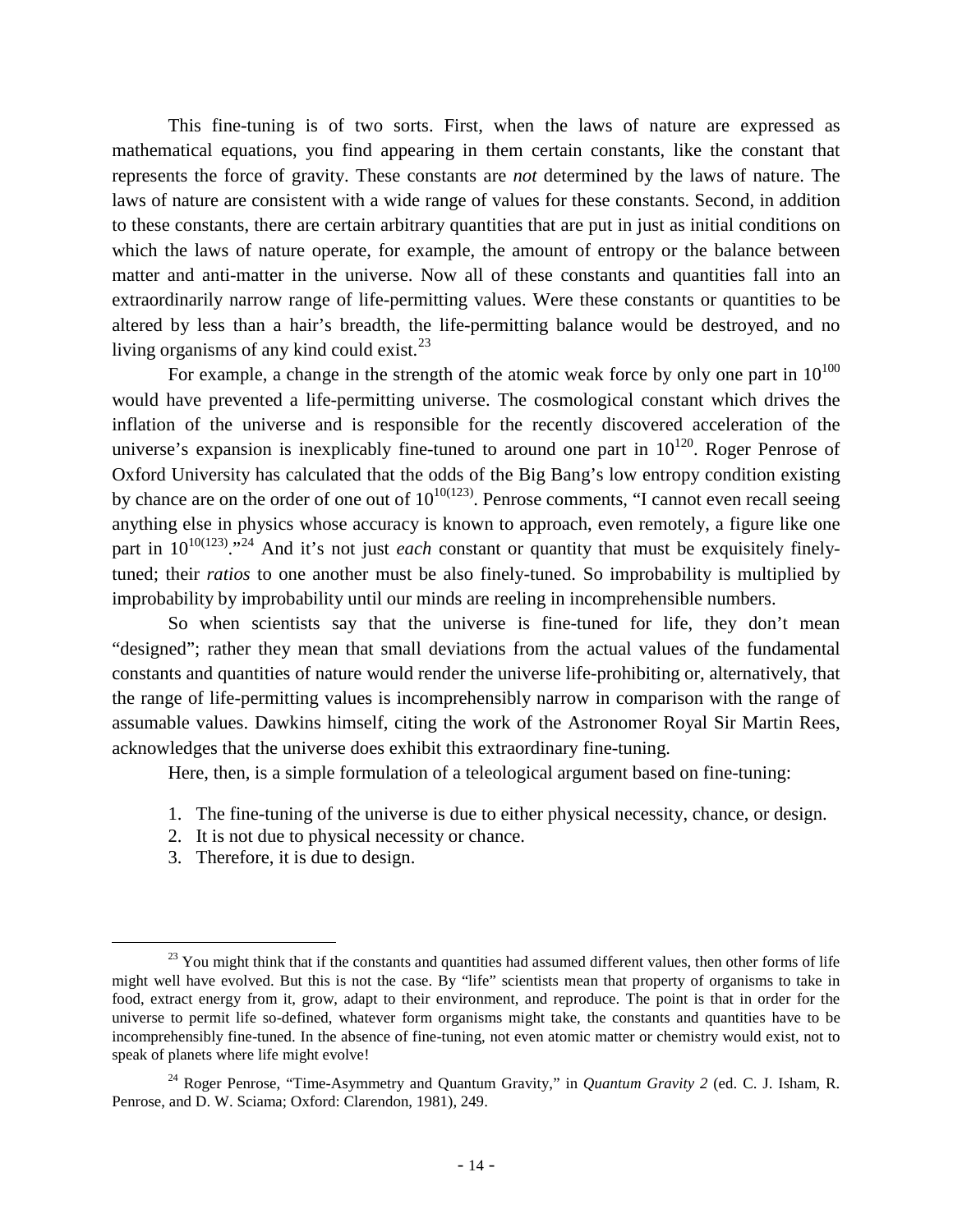This fine-tuning is of two sorts. First, when the laws of nature are expressed as mathematical equations, you find appearing in them certain constants, like the constant that represents the force of gravity. These constants are *not* determined by the laws of nature. The laws of nature are consistent with a wide range of values for these constants. Second, in addition to these constants, there are certain arbitrary quantities that are put in just as initial conditions on which the laws of nature operate, for example, the amount of entropy or the balance between matter and anti-matter in the universe. Now all of these constants and quantities fall into an extraordinarily narrow range of life-permitting values. Were these constants or quantities to be altered by less than a hair's breadth, the life-permitting balance would be destroyed, and no living organisms of any kind could exist. $^{23}$  $^{23}$  $^{23}$ 

For example, a change in the strength of the atomic weak force by only one part in  $10^{100}$ would have prevented a life-permitting universe. The cosmological constant which drives the inflation of the universe and is responsible for the recently discovered acceleration of the universe's expansion is inexplicably fine-tuned to around one part in  $10^{120}$ . Roger Penrose of Oxford University has calculated that the odds of the Big Bang's low entropy condition existing by chance are on the order of one out of  $10^{10(123)}$ . Penrose comments, "I cannot even recall seeing anything else in physics whose accuracy is known to approach, even remotely, a figure like one part in 10<sup>10(123)</sup>."<sup>[24](#page-13-1)</sup> And it's not just *each* constant or quantity that must be exquisitely finelytuned; their *ratios* to one another must be also finely-tuned. So improbability is multiplied by improbability by improbability until our minds are reeling in incomprehensible numbers.

So when scientists say that the universe is fine-tuned for life, they don't mean "designed"; rather they mean that small deviations from the actual values of the fundamental constants and quantities of nature would render the universe life-prohibiting or, alternatively, that the range of life-permitting values is incomprehensibly narrow in comparison with the range of assumable values. Dawkins himself, citing the work of the Astronomer Royal Sir Martin Rees, acknowledges that the universe does exhibit this extraordinary fine-tuning.

Here, then, is a simple formulation of a teleological argument based on fine-tuning:

- 1. The fine-tuning of the universe is due to either physical necessity, chance, or design.
- 2. It is not due to physical necessity or chance.
- 3. Therefore, it is due to design.

<span id="page-13-0"></span> $^{23}$  You might think that if the constants and quantities had assumed different values, then other forms of life might well have evolved. But this is not the case. By "life" scientists mean that property of organisms to take in food, extract energy from it, grow, adapt to their environment, and reproduce. The point is that in order for the universe to permit life so-defined, whatever form organisms might take, the constants and quantities have to be incomprehensibly fine-tuned. In the absence of fine-tuning, not even atomic matter or chemistry would exist, not to speak of planets where life might evolve!

<span id="page-13-1"></span><sup>24</sup> Roger Penrose, "Time-Asymmetry and Quantum Gravity," in *Quantum Gravity 2* (ed. C. J. Isham, R. Penrose, and D. W. Sciama; Oxford: Clarendon, 1981), 249.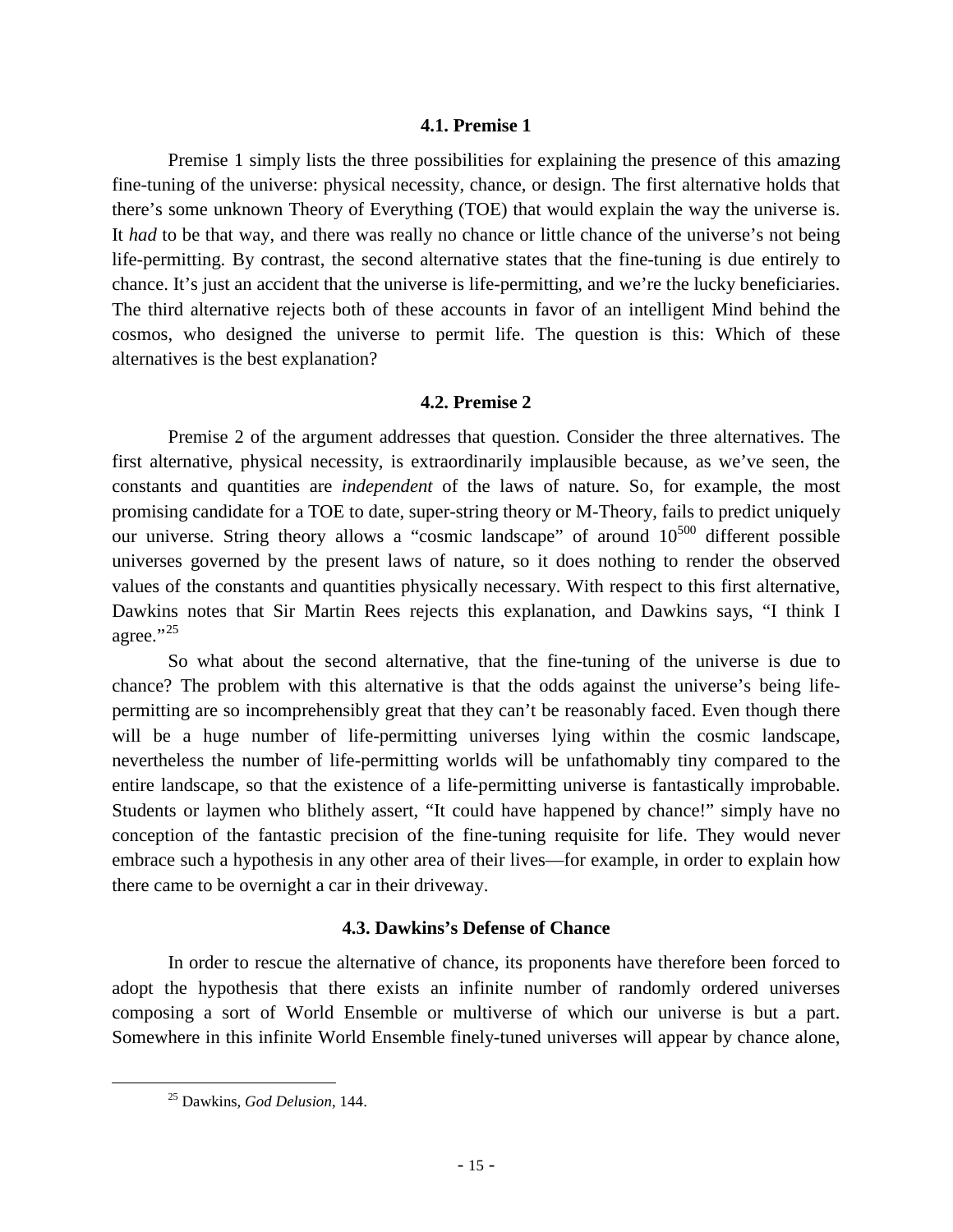#### **4.1. Premise 1**

Premise 1 simply lists the three possibilities for explaining the presence of this amazing fine-tuning of the universe: physical necessity, chance, or design. The first alternative holds that there's some unknown Theory of Everything (TOE) that would explain the way the universe is. It *had* to be that way, and there was really no chance or little chance of the universe's not being life-permitting. By contrast, the second alternative states that the fine-tuning is due entirely to chance. It's just an accident that the universe is life-permitting, and we're the lucky beneficiaries. The third alternative rejects both of these accounts in favor of an intelligent Mind behind the cosmos, who designed the universe to permit life. The question is this: Which of these alternatives is the best explanation?

### **4.2. Premise 2**

Premise 2 of the argument addresses that question. Consider the three alternatives. The first alternative, physical necessity, is extraordinarily implausible because, as we've seen, the constants and quantities are *independent* of the laws of nature. So, for example, the most promising candidate for a TOE to date, super-string theory or M-Theory, fails to predict uniquely our universe. String theory allows a "cosmic landscape" of around  $10^{500}$  different possible universes governed by the present laws of nature, so it does nothing to render the observed values of the constants and quantities physically necessary. With respect to this first alternative, Dawkins notes that Sir Martin Rees rejects this explanation, and Dawkins says, "I think I agree."<sup>[25](#page-14-0)</sup>

So what about the second alternative, that the fine-tuning of the universe is due to chance? The problem with this alternative is that the odds against the universe's being lifepermitting are so incomprehensibly great that they can't be reasonably faced. Even though there will be a huge number of life-permitting universes lying within the cosmic landscape, nevertheless the number of life-permitting worlds will be unfathomably tiny compared to the entire landscape, so that the existence of a life-permitting universe is fantastically improbable. Students or laymen who blithely assert, "It could have happened by chance!" simply have no conception of the fantastic precision of the fine-tuning requisite for life. They would never embrace such a hypothesis in any other area of their lives—for example, in order to explain how there came to be overnight a car in their driveway.

### **4.3. Dawkins's Defense of Chance**

In order to rescue the alternative of chance, its proponents have therefore been forced to adopt the hypothesis that there exists an infinite number of randomly ordered universes composing a sort of World Ensemble or multiverse of which our universe is but a part. Somewhere in this infinite World Ensemble finely-tuned universes will appear by chance alone,

<span id="page-14-0"></span> <sup>25</sup> Dawkins, *God Delusion*, 144.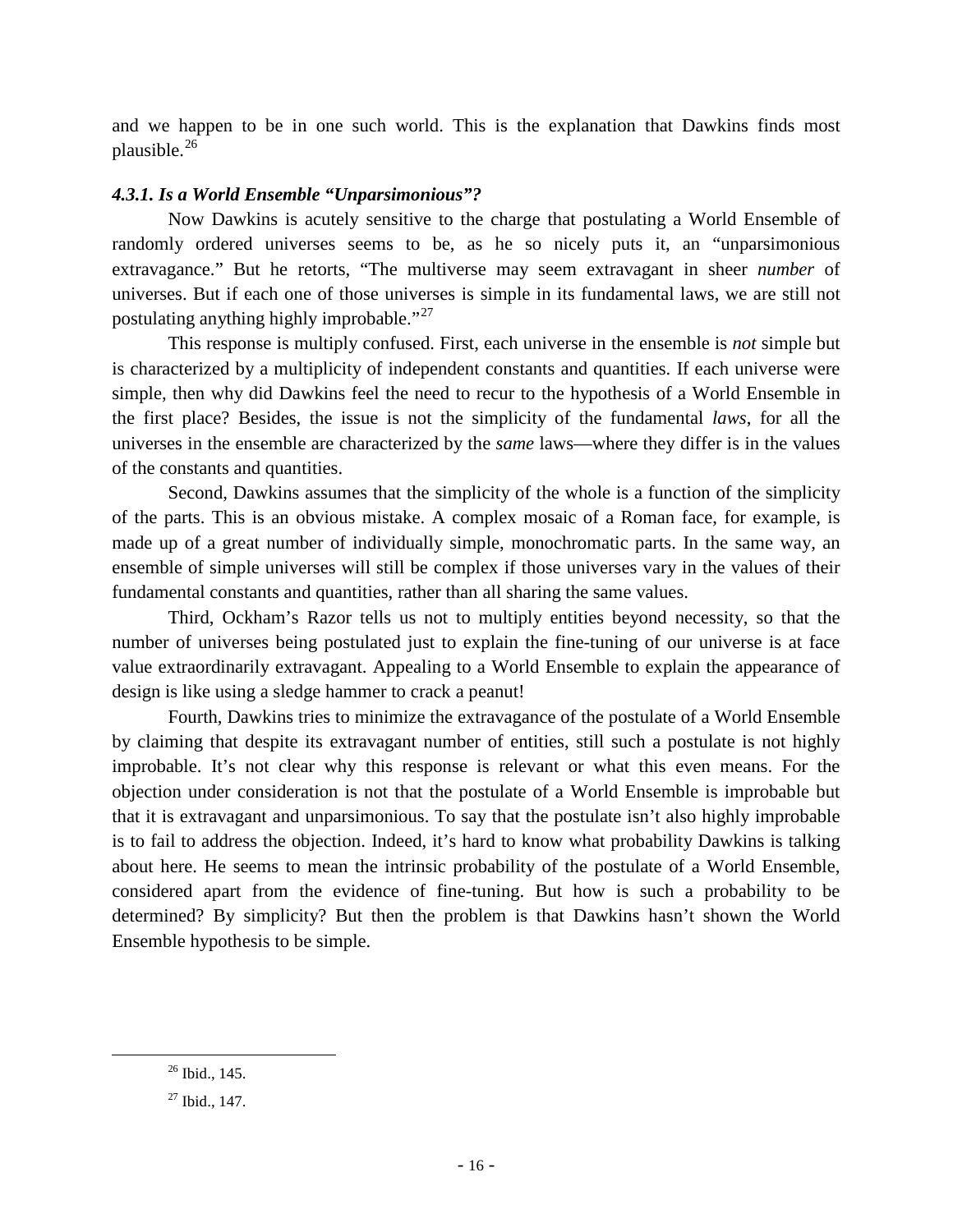and we happen to be in one such world. This is the explanation that Dawkins finds most plausible. $^{26}$  $^{26}$  $^{26}$ 

### *4.3.1. Is a World Ensemble "Unparsimonious"?*

Now Dawkins is acutely sensitive to the charge that postulating a World Ensemble of randomly ordered universes seems to be, as he so nicely puts it, an "unparsimonious extravagance." But he retorts, "The multiverse may seem extravagant in sheer *number* of universes. But if each one of those universes is simple in its fundamental laws, we are still not postulating anything highly improbable."<sup>[27](#page-15-1)</sup>

This response is multiply confused. First, each universe in the ensemble is *not* simple but is characterized by a multiplicity of independent constants and quantities. If each universe were simple, then why did Dawkins feel the need to recur to the hypothesis of a World Ensemble in the first place? Besides, the issue is not the simplicity of the fundamental *laws*, for all the universes in the ensemble are characterized by the *same* laws—where they differ is in the values of the constants and quantities.

Second, Dawkins assumes that the simplicity of the whole is a function of the simplicity of the parts. This is an obvious mistake. A complex mosaic of a Roman face, for example, is made up of a great number of individually simple, monochromatic parts. In the same way, an ensemble of simple universes will still be complex if those universes vary in the values of their fundamental constants and quantities, rather than all sharing the same values.

Third, Ockham's Razor tells us not to multiply entities beyond necessity, so that the number of universes being postulated just to explain the fine-tuning of our universe is at face value extraordinarily extravagant. Appealing to a World Ensemble to explain the appearance of design is like using a sledge hammer to crack a peanut!

Fourth, Dawkins tries to minimize the extravagance of the postulate of a World Ensemble by claiming that despite its extravagant number of entities, still such a postulate is not highly improbable. It's not clear why this response is relevant or what this even means. For the objection under consideration is not that the postulate of a World Ensemble is improbable but that it is extravagant and unparsimonious. To say that the postulate isn't also highly improbable is to fail to address the objection. Indeed, it's hard to know what probability Dawkins is talking about here. He seems to mean the intrinsic probability of the postulate of a World Ensemble, considered apart from the evidence of fine-tuning. But how is such a probability to be determined? By simplicity? But then the problem is that Dawkins hasn't shown the World Ensemble hypothesis to be simple.

<span id="page-15-0"></span> $26$  Ibid., 145.

<span id="page-15-1"></span> $27$  Ibid., 147.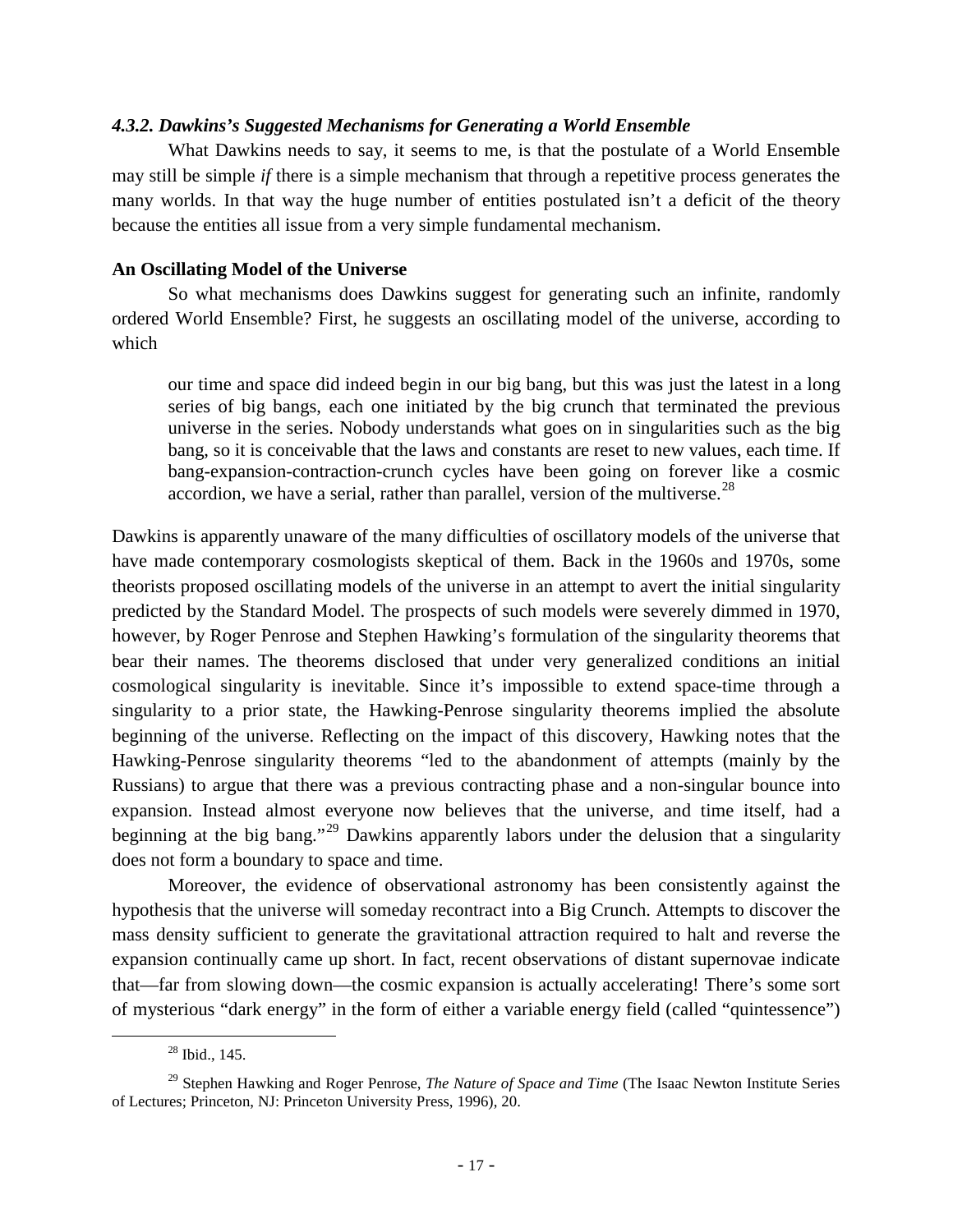## *4.3.2. Dawkins's Suggested Mechanisms for Generating a World Ensemble*

What Dawkins needs to say, it seems to me, is that the postulate of a World Ensemble may still be simple *if* there is a simple mechanism that through a repetitive process generates the many worlds. In that way the huge number of entities postulated isn't a deficit of the theory because the entities all issue from a very simple fundamental mechanism.

# **An Oscillating Model of the Universe**

So what mechanisms does Dawkins suggest for generating such an infinite, randomly ordered World Ensemble? First, he suggests an oscillating model of the universe, according to which

our time and space did indeed begin in our big bang, but this was just the latest in a long series of big bangs, each one initiated by the big crunch that terminated the previous universe in the series. Nobody understands what goes on in singularities such as the big bang, so it is conceivable that the laws and constants are reset to new values, each time. If bang-expansion-contraction-crunch cycles have been going on forever like a cosmic accordion, we have a serial, rather than parallel, version of the multiverse.<sup>[28](#page-16-0)</sup>

Dawkins is apparently unaware of the many difficulties of oscillatory models of the universe that have made contemporary cosmologists skeptical of them. Back in the 1960s and 1970s, some theorists proposed oscillating models of the universe in an attempt to avert the initial singularity predicted by the Standard Model. The prospects of such models were severely dimmed in 1970, however, by Roger Penrose and Stephen Hawking's formulation of the singularity theorems that bear their names. The theorems disclosed that under very generalized conditions an initial cosmological singularity is inevitable. Since it's impossible to extend space-time through a singularity to a prior state, the Hawking-Penrose singularity theorems implied the absolute beginning of the universe. Reflecting on the impact of this discovery, Hawking notes that the Hawking-Penrose singularity theorems "led to the abandonment of attempts (mainly by the Russians) to argue that there was a previous contracting phase and a non-singular bounce into expansion. Instead almost everyone now believes that the universe, and time itself, had a beginning at the big bang."<sup>[29](#page-16-1)</sup> Dawkins apparently labors under the delusion that a singularity does not form a boundary to space and time.

Moreover, the evidence of observational astronomy has been consistently against the hypothesis that the universe will someday recontract into a Big Crunch. Attempts to discover the mass density sufficient to generate the gravitational attraction required to halt and reverse the expansion continually came up short. In fact, recent observations of distant supernovae indicate that—far from slowing down—the cosmic expansion is actually accelerating! There's some sort of mysterious "dark energy" in the form of either a variable energy field (called "quintessence")

 $28$  Ibid., 145.

<span id="page-16-1"></span><span id="page-16-0"></span><sup>29</sup> Stephen Hawking and Roger Penrose, *The Nature of Space and Time* (The Isaac Newton Institute Series of Lectures; Princeton, NJ: Princeton University Press, 1996), 20.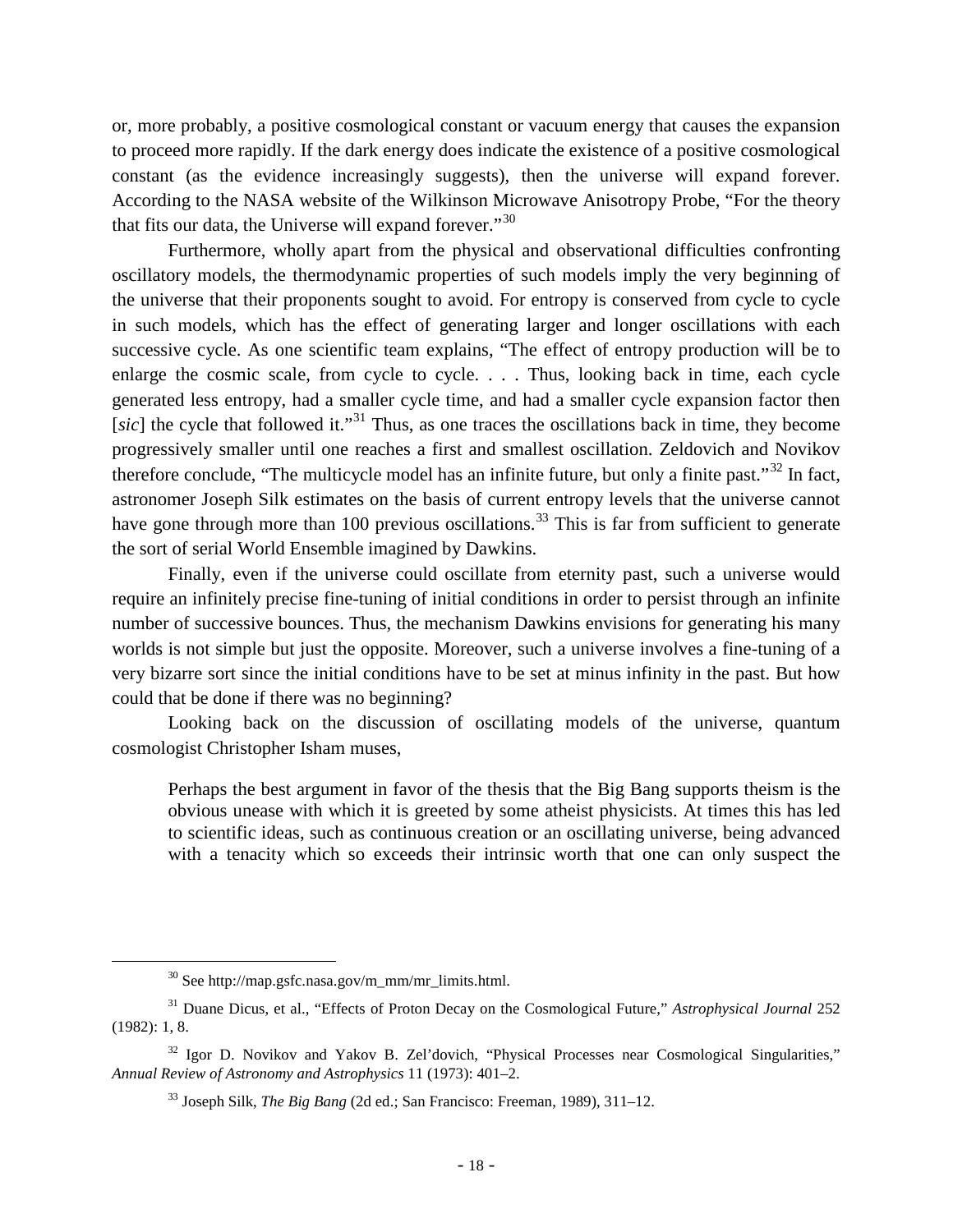or, more probably, a positive cosmological constant or vacuum energy that causes the expansion to proceed more rapidly. If the dark energy does indicate the existence of a positive cosmological constant (as the evidence increasingly suggests), then the universe will expand forever. According to the NASA website of the Wilkinson Microwave Anisotropy Probe, "For the theory that fits our data, the Universe will expand forever."<sup>[30](#page-17-0)</sup>

Furthermore, wholly apart from the physical and observational difficulties confronting oscillatory models, the thermodynamic properties of such models imply the very beginning of the universe that their proponents sought to avoid. For entropy is conserved from cycle to cycle in such models, which has the effect of generating larger and longer oscillations with each successive cycle. As one scientific team explains, "The effect of entropy production will be to enlarge the cosmic scale, from cycle to cycle. . . . Thus, looking back in time, each cycle generated less entropy, had a smaller cycle time, and had a smaller cycle expansion factor then [*sic*] the cycle that followed it."<sup>[31](#page-17-1)</sup> Thus, as one traces the oscillations back in time, they become progressively smaller until one reaches a first and smallest oscillation. Zeldovich and Novikov therefore conclude, "The multicycle model has an infinite future, but only a finite past."[32](#page-17-2) In fact, astronomer Joseph Silk estimates on the basis of current entropy levels that the universe cannot have gone through more than 100 previous oscillations.<sup>[33](#page-17-3)</sup> This is far from sufficient to generate the sort of serial World Ensemble imagined by Dawkins.

Finally, even if the universe could oscillate from eternity past, such a universe would require an infinitely precise fine-tuning of initial conditions in order to persist through an infinite number of successive bounces. Thus, the mechanism Dawkins envisions for generating his many worlds is not simple but just the opposite. Moreover, such a universe involves a fine-tuning of a very bizarre sort since the initial conditions have to be set at minus infinity in the past. But how could that be done if there was no beginning?

Looking back on the discussion of oscillating models of the universe, quantum cosmologist Christopher Isham muses,

Perhaps the best argument in favor of the thesis that the Big Bang supports theism is the obvious unease with which it is greeted by some atheist physicists. At times this has led to scientific ideas, such as continuous creation or an oscillating universe, being advanced with a tenacity which so exceeds their intrinsic worth that one can only suspect the

 $30$  See [http://map.gsfc.nasa.gov/m\\_mm/mr\\_limits.html.](http://map.gsfc.nasa.gov/m_mm/mr_limits.html)

<span id="page-17-1"></span><span id="page-17-0"></span><sup>31</sup> Duane Dicus, et al., "Effects of Proton Decay on the Cosmological Future," *Astrophysical Journal* 252 (1982): 1, 8.

<span id="page-17-3"></span><span id="page-17-2"></span> $32$  Igor D. Novikov and Yakov B. Zel'dovich, "Physical Processes near Cosmological Singularities," *Annual Review of Astronomy and Astrophysics* 11 (1973): 401–2.

<sup>33</sup> Joseph Silk, *The Big Bang* (2d ed.; San Francisco: Freeman, 1989), 311–12.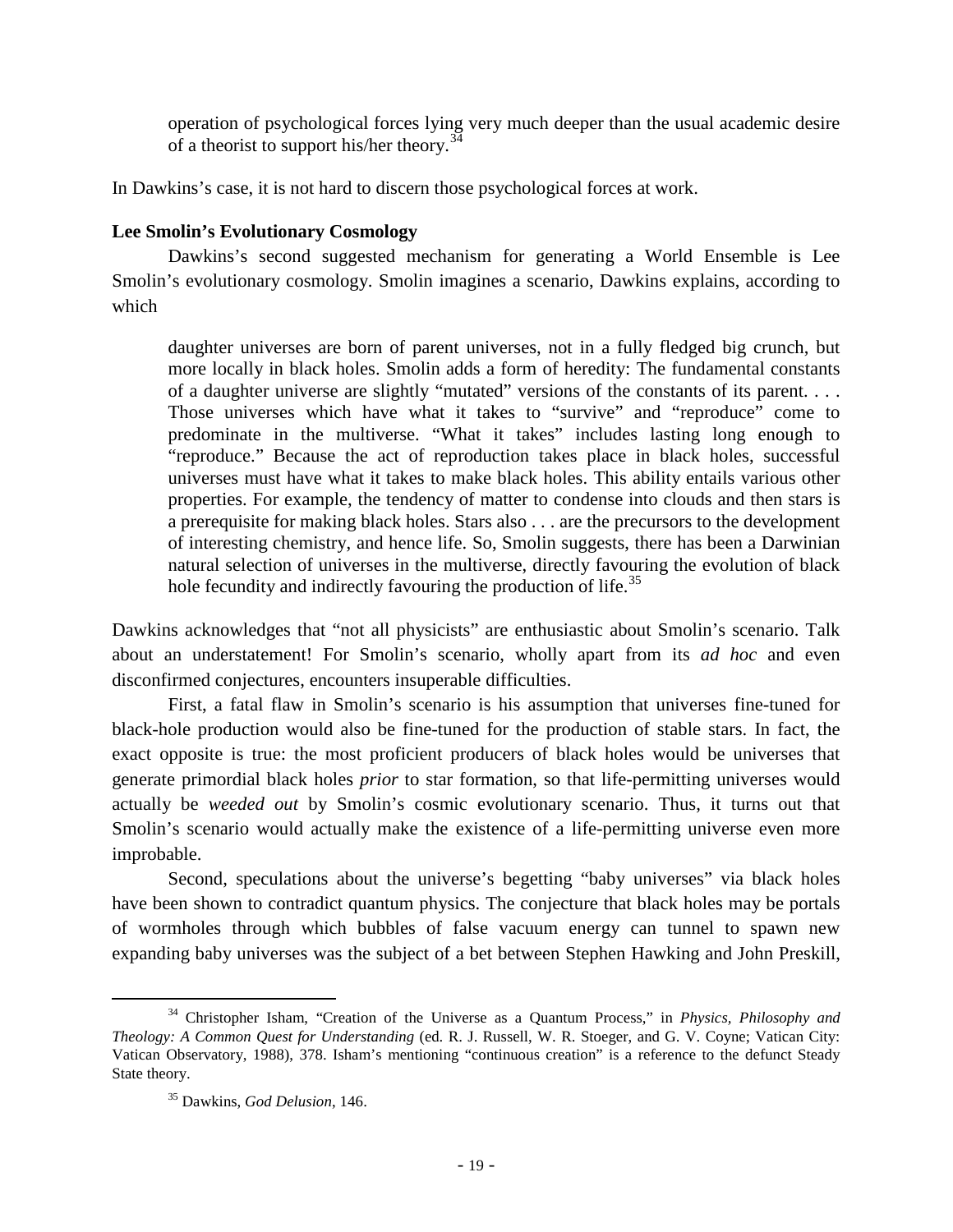operation of psychological forces lying very much deeper than the usual academic desire of a theorist to support his/her theory.<sup>[34](#page-18-0)</sup>

In Dawkins's case, it is not hard to discern those psychological forces at work.

# **Lee Smolin's Evolutionary Cosmology**

Dawkins's second suggested mechanism for generating a World Ensemble is Lee Smolin's evolutionary cosmology. Smolin imagines a scenario, Dawkins explains, according to which

daughter universes are born of parent universes, not in a fully fledged big crunch, but more locally in black holes. Smolin adds a form of heredity: The fundamental constants of a daughter universe are slightly "mutated" versions of the constants of its parent. . . . Those universes which have what it takes to "survive" and "reproduce" come to predominate in the multiverse. "What it takes" includes lasting long enough to "reproduce." Because the act of reproduction takes place in black holes, successful universes must have what it takes to make black holes. This ability entails various other properties. For example, the tendency of matter to condense into clouds and then stars is a prerequisite for making black holes. Stars also . . . are the precursors to the development of interesting chemistry, and hence life. So, Smolin suggests, there has been a Darwinian natural selection of universes in the multiverse, directly favouring the evolution of black hole fecundity and indirectly favouring the production of life.<sup>[35](#page-18-1)</sup>

Dawkins acknowledges that "not all physicists" are enthusiastic about Smolin's scenario. Talk about an understatement! For Smolin's scenario, wholly apart from its *ad hoc* and even disconfirmed conjectures, encounters insuperable difficulties.

First, a fatal flaw in Smolin's scenario is his assumption that universes fine-tuned for black-hole production would also be fine-tuned for the production of stable stars. In fact, the exact opposite is true: the most proficient producers of black holes would be universes that generate primordial black holes *prior* to star formation, so that life-permitting universes would actually be *weeded out* by Smolin's cosmic evolutionary scenario. Thus, it turns out that Smolin's scenario would actually make the existence of a life-permitting universe even more improbable.

Second, speculations about the universe's begetting "baby universes" via black holes have been shown to contradict quantum physics. The conjecture that black holes may be portals of wormholes through which bubbles of false vacuum energy can tunnel to spawn new expanding baby universes was the subject of a bet between Stephen Hawking and John Preskill,

<span id="page-18-1"></span><span id="page-18-0"></span> <sup>34</sup> Christopher Isham, "Creation of the Universe as a Quantum Process," in *Physics, Philosophy and Theology: A Common Quest for Understanding* (ed. R. J. Russell, W. R. Stoeger, and G. V. Coyne; Vatican City: Vatican Observatory, 1988), 378. Isham's mentioning "continuous creation" is a reference to the defunct Steady State theory.

<sup>35</sup> Dawkins, *God Delusion*, 146.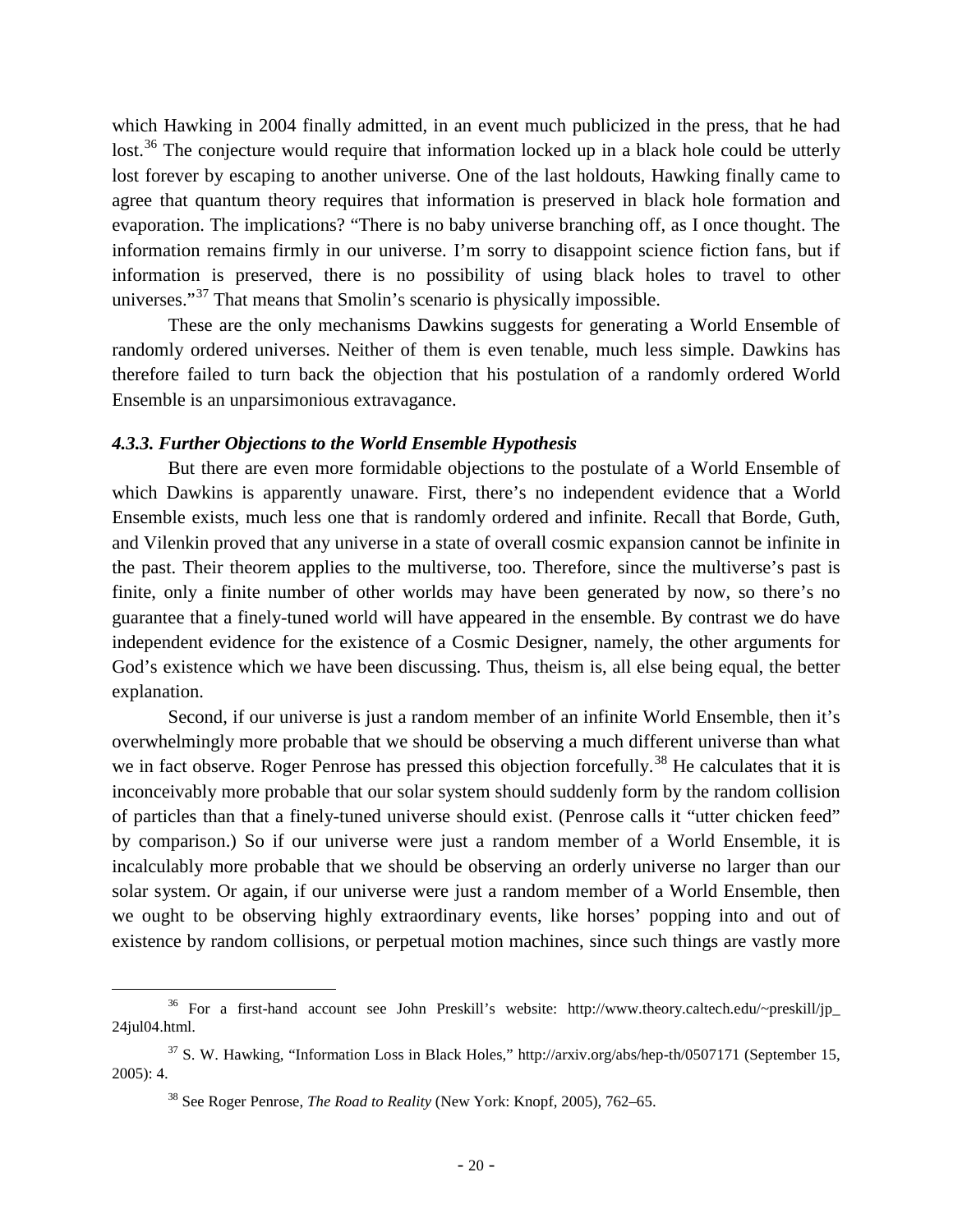which Hawking in 2004 finally admitted, in an event much publicized in the press, that he had lost.<sup>[36](#page-19-0)</sup> The conjecture would require that information locked up in a black hole could be utterly lost forever by escaping to another universe. One of the last holdouts, Hawking finally came to agree that quantum theory requires that information is preserved in black hole formation and evaporation. The implications? "There is no baby universe branching off, as I once thought. The information remains firmly in our universe. I'm sorry to disappoint science fiction fans, but if information is preserved, there is no possibility of using black holes to travel to other universes."<sup>[37](#page-19-1)</sup> That means that Smolin's scenario is physically impossible.

These are the only mechanisms Dawkins suggests for generating a World Ensemble of randomly ordered universes. Neither of them is even tenable, much less simple. Dawkins has therefore failed to turn back the objection that his postulation of a randomly ordered World Ensemble is an unparsimonious extravagance.

### *4.3.3. Further Objections to the World Ensemble Hypothesis*

But there are even more formidable objections to the postulate of a World Ensemble of which Dawkins is apparently unaware. First, there's no independent evidence that a World Ensemble exists, much less one that is randomly ordered and infinite. Recall that Borde, Guth, and Vilenkin proved that any universe in a state of overall cosmic expansion cannot be infinite in the past. Their theorem applies to the multiverse, too. Therefore, since the multiverse's past is finite, only a finite number of other worlds may have been generated by now, so there's no guarantee that a finely-tuned world will have appeared in the ensemble. By contrast we do have independent evidence for the existence of a Cosmic Designer, namely, the other arguments for God's existence which we have been discussing. Thus, theism is, all else being equal, the better explanation.

Second, if our universe is just a random member of an infinite World Ensemble, then it's overwhelmingly more probable that we should be observing a much different universe than what we in fact observe. Roger Penrose has pressed this objection forcefully.<sup>[38](#page-19-2)</sup> He calculates that it is inconceivably more probable that our solar system should suddenly form by the random collision of particles than that a finely-tuned universe should exist. (Penrose calls it "utter chicken feed" by comparison.) So if our universe were just a random member of a World Ensemble, it is incalculably more probable that we should be observing an orderly universe no larger than our solar system. Or again, if our universe were just a random member of a World Ensemble, then we ought to be observing highly extraordinary events, like horses' popping into and out of existence by random collisions, or perpetual motion machines, since such things are vastly more

<span id="page-19-0"></span><sup>&</sup>lt;sup>36</sup> For a first-hand account see John Preskill's website: http://www.theory.caltech.edu/~preskill/jp\_ 24jul04.html.

<span id="page-19-2"></span><span id="page-19-1"></span><sup>37</sup> S. W. Hawking, "Information Loss in Black Holes," http://arxiv.org/abs/hep-th/0507171 (September 15, 2005): 4.

<sup>38</sup> See Roger Penrose, *The Road to Reality* (New York: Knopf, 2005), 762–65.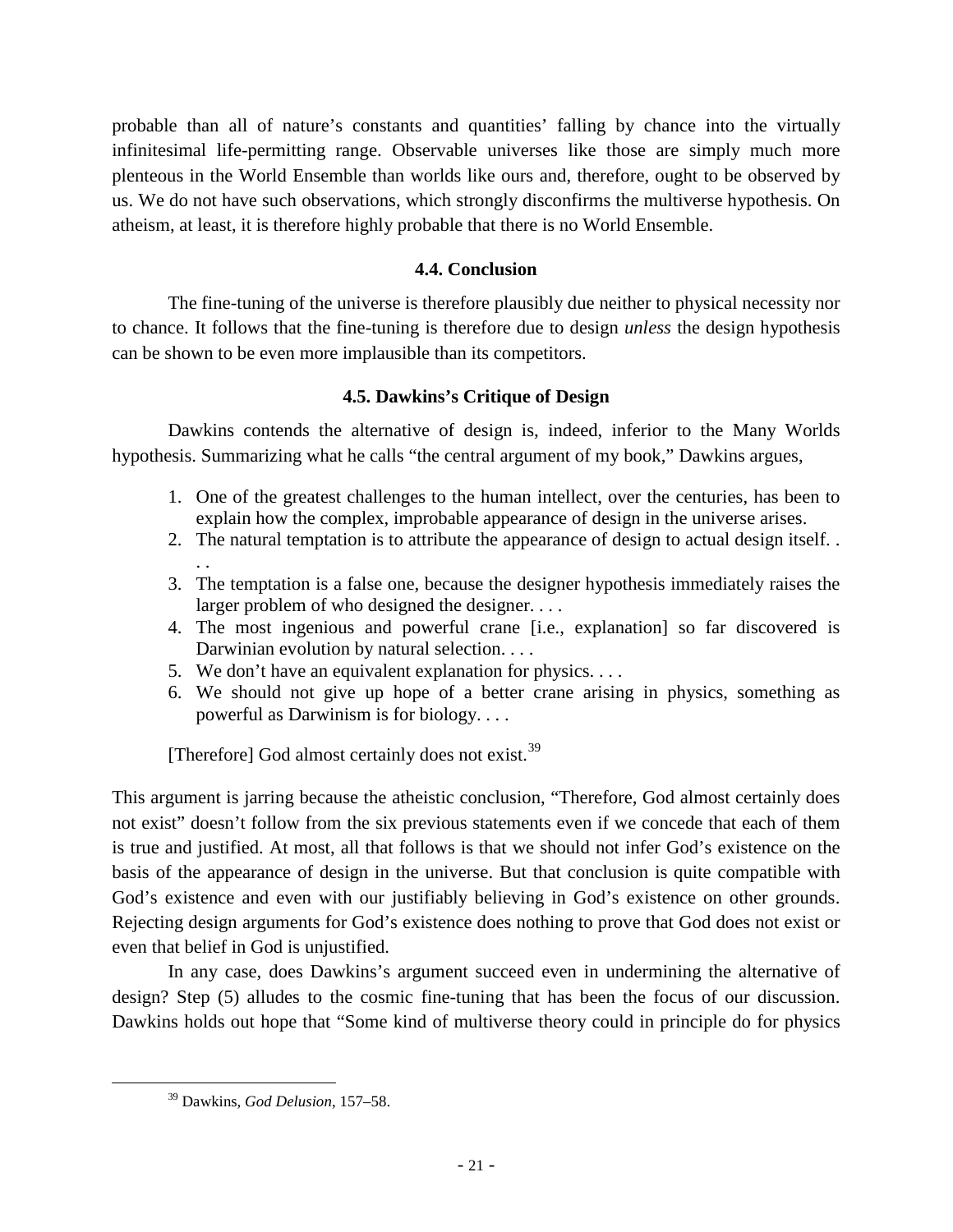probable than all of nature's constants and quantities' falling by chance into the virtually infinitesimal life-permitting range. Observable universes like those are simply much more plenteous in the World Ensemble than worlds like ours and, therefore, ought to be observed by us. We do not have such observations, which strongly disconfirms the multiverse hypothesis. On atheism, at least, it is therefore highly probable that there is no World Ensemble.

# **4.4. Conclusion**

The fine-tuning of the universe is therefore plausibly due neither to physical necessity nor to chance. It follows that the fine-tuning is therefore due to design *unless* the design hypothesis can be shown to be even more implausible than its competitors.

# **4.5. Dawkins's Critique of Design**

Dawkins contends the alternative of design is, indeed, inferior to the Many Worlds hypothesis. Summarizing what he calls "the central argument of my book," Dawkins argues,

- 1. One of the greatest challenges to the human intellect, over the centuries, has been to explain how the complex, improbable appearance of design in the universe arises.
- 2. The natural temptation is to attribute the appearance of design to actual design itself. . . .
- 3. The temptation is a false one, because the designer hypothesis immediately raises the larger problem of who designed the designer. . . .
- 4. The most ingenious and powerful crane [i.e., explanation] so far discovered is Darwinian evolution by natural selection. . . .
- 5. We don't have an equivalent explanation for physics. . . .
- 6. We should not give up hope of a better crane arising in physics, something as powerful as Darwinism is for biology. . . .

[Therefore] God almost certainly does not exist.<sup>[39](#page-20-0)</sup>

This argument is jarring because the atheistic conclusion, "Therefore, God almost certainly does not exist" doesn't follow from the six previous statements even if we concede that each of them is true and justified. At most, all that follows is that we should not infer God's existence on the basis of the appearance of design in the universe. But that conclusion is quite compatible with God's existence and even with our justifiably believing in God's existence on other grounds. Rejecting design arguments for God's existence does nothing to prove that God does not exist or even that belief in God is unjustified.

In any case, does Dawkins's argument succeed even in undermining the alternative of design? Step (5) alludes to the cosmic fine-tuning that has been the focus of our discussion. Dawkins holds out hope that "Some kind of multiverse theory could in principle do for physics

<span id="page-20-0"></span> <sup>39</sup> Dawkins, *God Delusion*, 157–58.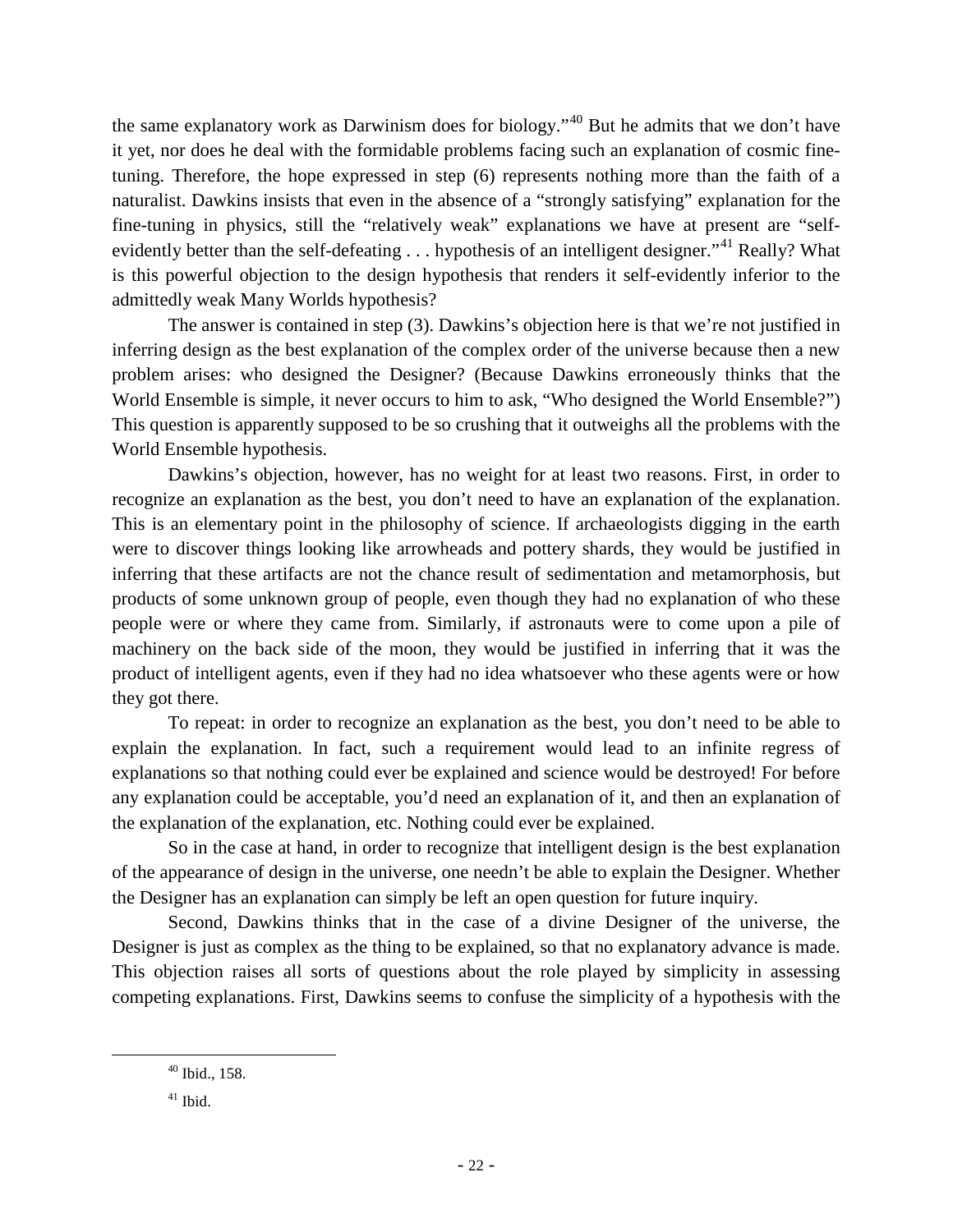the same explanatory work as Darwinism does for biology."<sup>[40](#page-21-0)</sup> But he admits that we don't have it yet, nor does he deal with the formidable problems facing such an explanation of cosmic finetuning. Therefore, the hope expressed in step (6) represents nothing more than the faith of a naturalist. Dawkins insists that even in the absence of a "strongly satisfying" explanation for the fine-tuning in physics, still the "relatively weak" explanations we have at present are "self-evidently better than the self-defeating . . . hypothesis of an intelligent designer."<sup>[41](#page-21-1)</sup> Really? What is this powerful objection to the design hypothesis that renders it self-evidently inferior to the admittedly weak Many Worlds hypothesis?

The answer is contained in step (3). Dawkins's objection here is that we're not justified in inferring design as the best explanation of the complex order of the universe because then a new problem arises: who designed the Designer? (Because Dawkins erroneously thinks that the World Ensemble is simple, it never occurs to him to ask, "Who designed the World Ensemble?") This question is apparently supposed to be so crushing that it outweighs all the problems with the World Ensemble hypothesis.

Dawkins's objection, however, has no weight for at least two reasons. First, in order to recognize an explanation as the best, you don't need to have an explanation of the explanation. This is an elementary point in the philosophy of science. If archaeologists digging in the earth were to discover things looking like arrowheads and pottery shards, they would be justified in inferring that these artifacts are not the chance result of sedimentation and metamorphosis, but products of some unknown group of people, even though they had no explanation of who these people were or where they came from. Similarly, if astronauts were to come upon a pile of machinery on the back side of the moon, they would be justified in inferring that it was the product of intelligent agents, even if they had no idea whatsoever who these agents were or how they got there.

To repeat: in order to recognize an explanation as the best, you don't need to be able to explain the explanation. In fact, such a requirement would lead to an infinite regress of explanations so that nothing could ever be explained and science would be destroyed! For before any explanation could be acceptable, you'd need an explanation of it, and then an explanation of the explanation of the explanation, etc. Nothing could ever be explained.

So in the case at hand, in order to recognize that intelligent design is the best explanation of the appearance of design in the universe, one needn't be able to explain the Designer. Whether the Designer has an explanation can simply be left an open question for future inquiry.

Second, Dawkins thinks that in the case of a divine Designer of the universe, the Designer is just as complex as the thing to be explained, so that no explanatory advance is made. This objection raises all sorts of questions about the role played by simplicity in assessing competing explanations. First, Dawkins seems to confuse the simplicity of a hypothesis with the

<span id="page-21-0"></span> $40$  Ibid., 158.

<span id="page-21-1"></span> $41$  Ibid.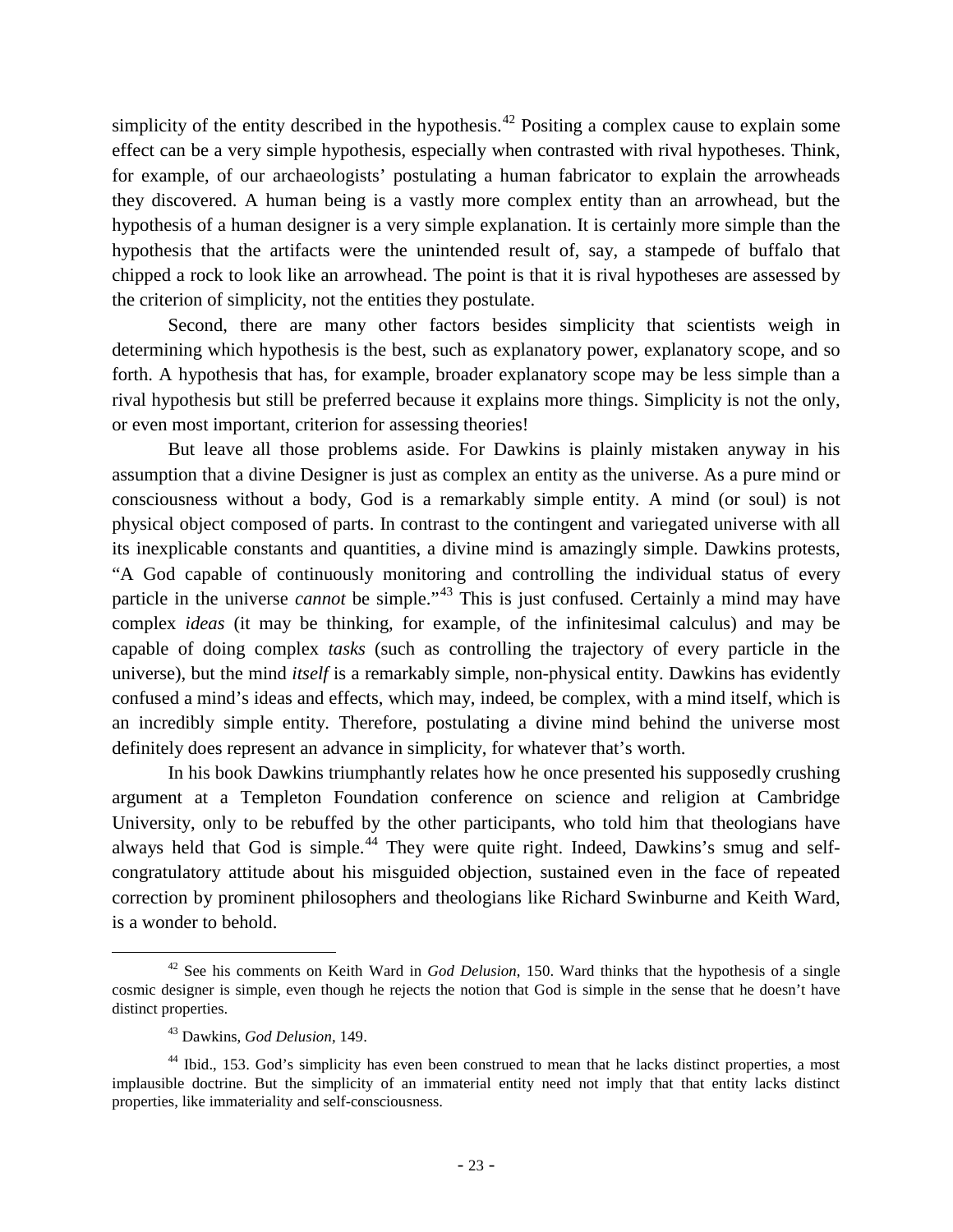simplicity of the entity described in the hypothesis.<sup>[42](#page-22-0)</sup> Positing a complex cause to explain some effect can be a very simple hypothesis, especially when contrasted with rival hypotheses. Think, for example, of our archaeologists' postulating a human fabricator to explain the arrowheads they discovered. A human being is a vastly more complex entity than an arrowhead, but the hypothesis of a human designer is a very simple explanation. It is certainly more simple than the hypothesis that the artifacts were the unintended result of, say, a stampede of buffalo that chipped a rock to look like an arrowhead. The point is that it is rival hypotheses are assessed by the criterion of simplicity, not the entities they postulate.

Second, there are many other factors besides simplicity that scientists weigh in determining which hypothesis is the best, such as explanatory power, explanatory scope, and so forth. A hypothesis that has, for example, broader explanatory scope may be less simple than a rival hypothesis but still be preferred because it explains more things. Simplicity is not the only, or even most important, criterion for assessing theories!

But leave all those problems aside. For Dawkins is plainly mistaken anyway in his assumption that a divine Designer is just as complex an entity as the universe. As a pure mind or consciousness without a body, God is a remarkably simple entity. A mind (or soul) is not physical object composed of parts. In contrast to the contingent and variegated universe with all its inexplicable constants and quantities, a divine mind is amazingly simple. Dawkins protests, "A God capable of continuously monitoring and controlling the individual status of every particle in the universe *cannot* be simple."<sup>[43](#page-22-1)</sup> This is just confused. Certainly a mind may have complex *ideas* (it may be thinking, for example, of the infinitesimal calculus) and may be capable of doing complex *tasks* (such as controlling the trajectory of every particle in the universe), but the mind *itself* is a remarkably simple, non-physical entity. Dawkins has evidently confused a mind's ideas and effects, which may, indeed, be complex, with a mind itself, which is an incredibly simple entity. Therefore, postulating a divine mind behind the universe most definitely does represent an advance in simplicity, for whatever that's worth.

In his book Dawkins triumphantly relates how he once presented his supposedly crushing argument at a Templeton Foundation conference on science and religion at Cambridge University, only to be rebuffed by the other participants, who told him that theologians have always held that God is simple.<sup>[44](#page-22-2)</sup> They were quite right. Indeed, Dawkins's smug and selfcongratulatory attitude about his misguided objection, sustained even in the face of repeated correction by prominent philosophers and theologians like Richard Swinburne and Keith Ward, is a wonder to behold.

<span id="page-22-0"></span> <sup>42</sup> See his comments on Keith Ward in *God Delusion*, 150. Ward thinks that the hypothesis of a single cosmic designer is simple, even though he rejects the notion that God is simple in the sense that he doesn't have distinct properties.

<sup>43</sup> Dawkins, *God Delusion*, 149.

<span id="page-22-2"></span><span id="page-22-1"></span><sup>&</sup>lt;sup>44</sup> Ibid., 153. God's simplicity has even been construed to mean that he lacks distinct properties, a most implausible doctrine. But the simplicity of an immaterial entity need not imply that that entity lacks distinct properties, like immateriality and self-consciousness.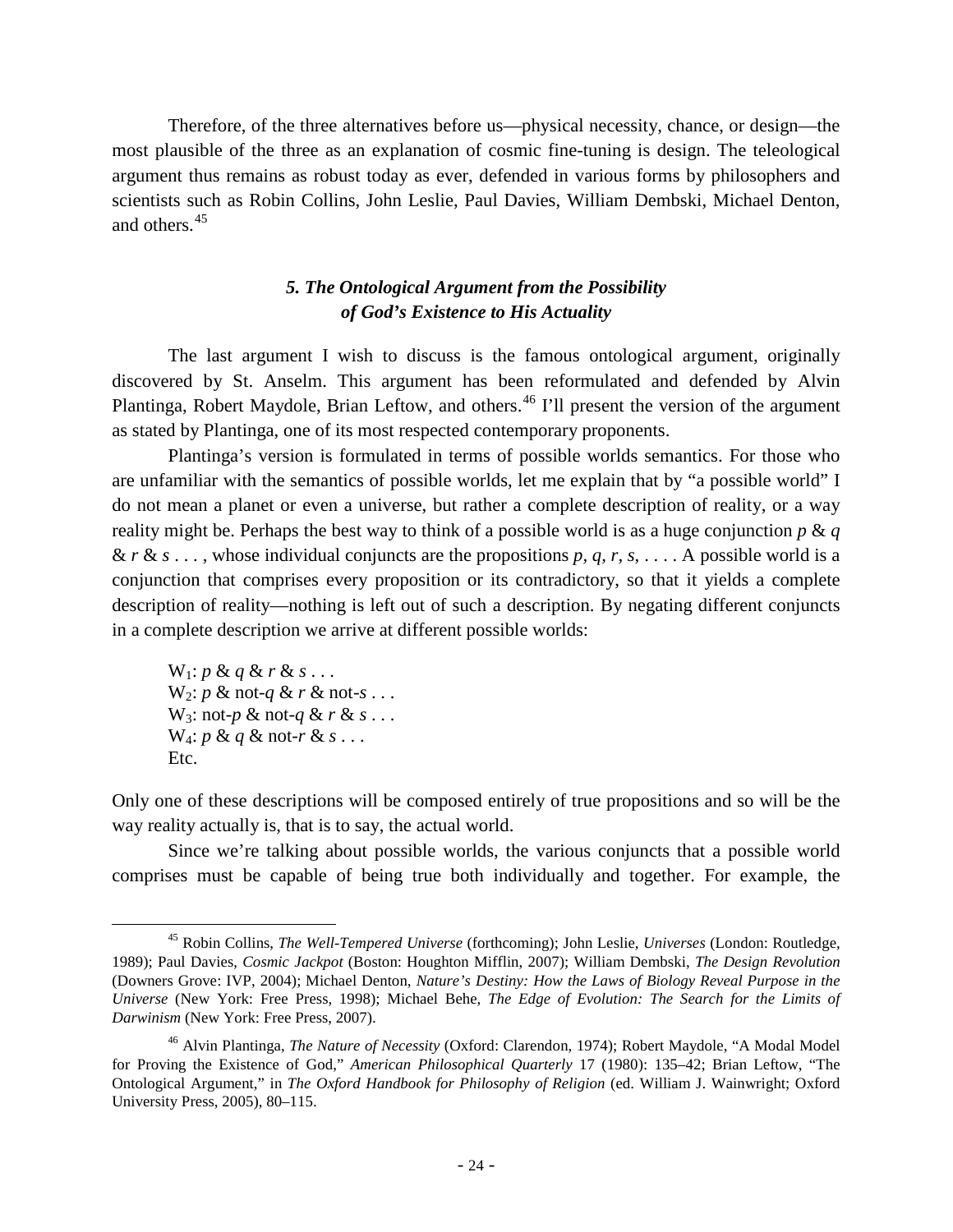Therefore, of the three alternatives before us—physical necessity, chance, or design—the most plausible of the three as an explanation of cosmic fine-tuning is design. The teleological argument thus remains as robust today as ever, defended in various forms by philosophers and scientists such as Robin Collins, John Leslie, Paul Davies, William Dembski, Michael Denton, and others.[45](#page-23-0)

# *5. The Ontological Argument from the Possibility of God's Existence to His Actuality*

The last argument I wish to discuss is the famous ontological argument, originally discovered by St. Anselm. This argument has been reformulated and defended by Alvin Plantinga, Robert Maydole, Brian Leftow, and others.<sup>[46](#page-23-1)</sup> I'll present the version of the argument as stated by Plantinga, one of its most respected contemporary proponents.

Plantinga's version is formulated in terms of possible worlds semantics. For those who are unfamiliar with the semantics of possible worlds, let me explain that by "a possible world" I do not mean a planet or even a universe, but rather a complete description of reality, or a way reality might be. Perhaps the best way to think of a possible world is as a huge conjunction *p* & *q* & *r* & *s* . . . , whose individual conjuncts are the propositions *p, q, r, s*, . . . . A possible world is a conjunction that comprises every proposition or its contradictory, so that it yields a complete description of reality—nothing is left out of such a description. By negating different conjuncts in a complete description we arrive at different possible worlds:

W1: *p* & *q* & *r* & *s* . . .  $W_2$ : *p &* not-*q & r &* not-*s* ... W3: not-*p* & not-*q* & *r* & *s* . . . W4: *p* & *q* & not-*r* & *s* . . . Etc.

Only one of these descriptions will be composed entirely of true propositions and so will be the way reality actually is, that is to say, the actual world.

Since we're talking about possible worlds, the various conjuncts that a possible world comprises must be capable of being true both individually and together. For example, the

<span id="page-23-0"></span> <sup>45</sup> Robin Collins, *The Well-Tempered Universe* (forthcoming); John Leslie, *Universes* (London: Routledge, 1989); Paul Davies, *Cosmic Jackpot* (Boston: Houghton Mifflin, 2007); William Dembski, *The Design Revolution* (Downers Grove: IVP, 2004); Michael Denton, *Nature's Destiny: How the Laws of Biology Reveal Purpose in the Universe* (New York: Free Press, 1998); Michael Behe, *The Edge of Evolution: The Search for the Limits of Darwinism* (New York: Free Press, 2007).

<span id="page-23-1"></span><sup>46</sup> Alvin Plantinga, *The Nature of Necessity* (Oxford: Clarendon, 1974); Robert Maydole, "A Modal Model for Proving the Existence of God," *American Philosophical Quarterly* 17 (1980): 135–42; Brian Leftow, "The Ontological Argument," in *The Oxford Handbook for Philosophy of Religion* (ed. William J. Wainwright; Oxford University Press, 2005), 80–115.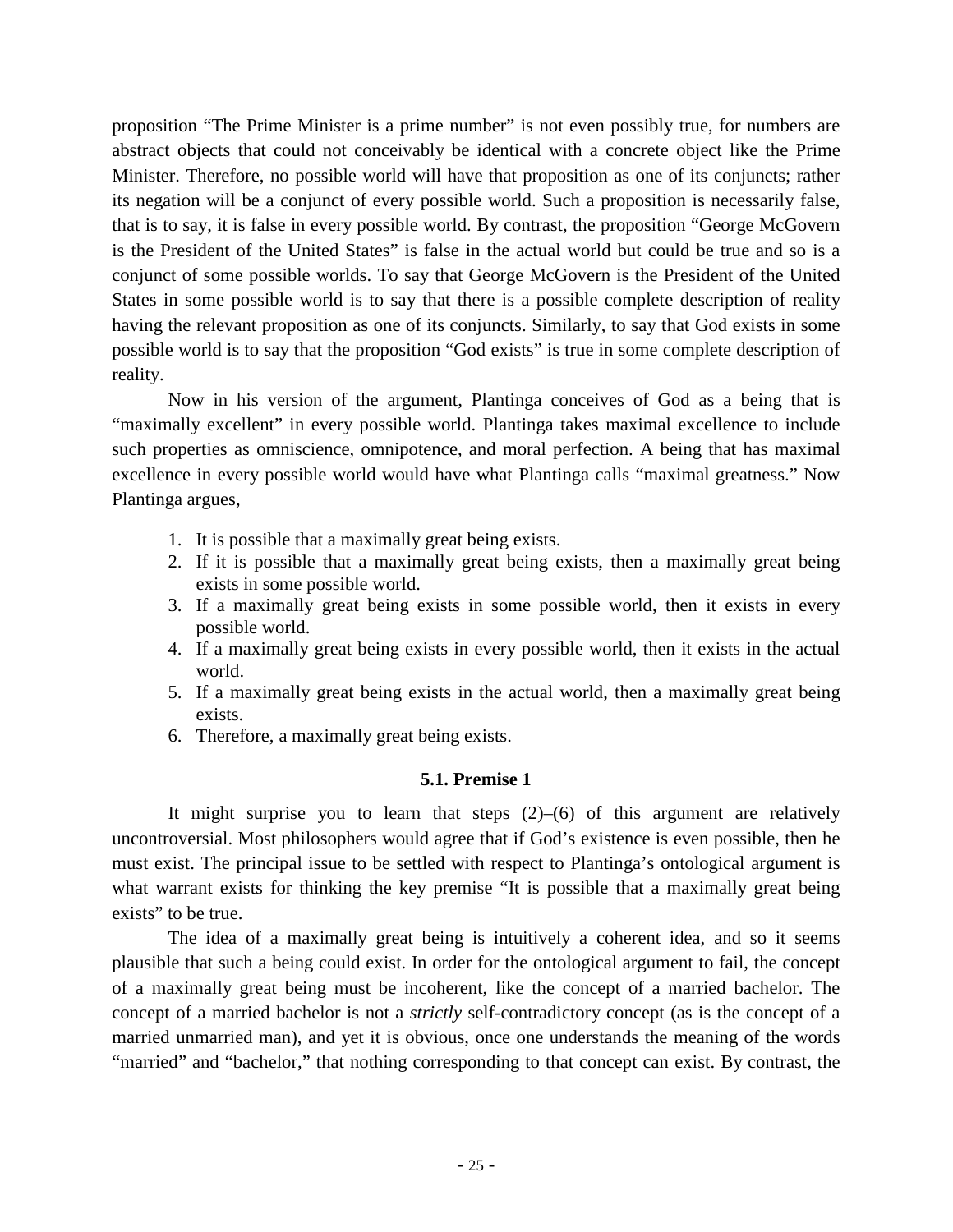proposition "The Prime Minister is a prime number" is not even possibly true, for numbers are abstract objects that could not conceivably be identical with a concrete object like the Prime Minister. Therefore, no possible world will have that proposition as one of its conjuncts; rather its negation will be a conjunct of every possible world. Such a proposition is necessarily false, that is to say, it is false in every possible world. By contrast, the proposition "George McGovern is the President of the United States" is false in the actual world but could be true and so is a conjunct of some possible worlds. To say that George McGovern is the President of the United States in some possible world is to say that there is a possible complete description of reality having the relevant proposition as one of its conjuncts. Similarly, to say that God exists in some possible world is to say that the proposition "God exists" is true in some complete description of reality.

Now in his version of the argument, Plantinga conceives of God as a being that is "maximally excellent" in every possible world. Plantinga takes maximal excellence to include such properties as omniscience, omnipotence, and moral perfection. A being that has maximal excellence in every possible world would have what Plantinga calls "maximal greatness." Now Plantinga argues,

- 1. It is possible that a maximally great being exists.
- 2. If it is possible that a maximally great being exists, then a maximally great being exists in some possible world.
- 3. If a maximally great being exists in some possible world, then it exists in every possible world.
- 4. If a maximally great being exists in every possible world, then it exists in the actual world.
- 5. If a maximally great being exists in the actual world, then a maximally great being exists.
- 6. Therefore, a maximally great being exists.

## **5.1. Premise 1**

It might surprise you to learn that steps  $(2)$ – $(6)$  of this argument are relatively uncontroversial. Most philosophers would agree that if God's existence is even possible, then he must exist. The principal issue to be settled with respect to Plantinga's ontological argument is what warrant exists for thinking the key premise "It is possible that a maximally great being exists" to be true.

The idea of a maximally great being is intuitively a coherent idea, and so it seems plausible that such a being could exist. In order for the ontological argument to fail, the concept of a maximally great being must be incoherent, like the concept of a married bachelor. The concept of a married bachelor is not a *strictly* self-contradictory concept (as is the concept of a married unmarried man), and yet it is obvious, once one understands the meaning of the words "married" and "bachelor," that nothing corresponding to that concept can exist. By contrast, the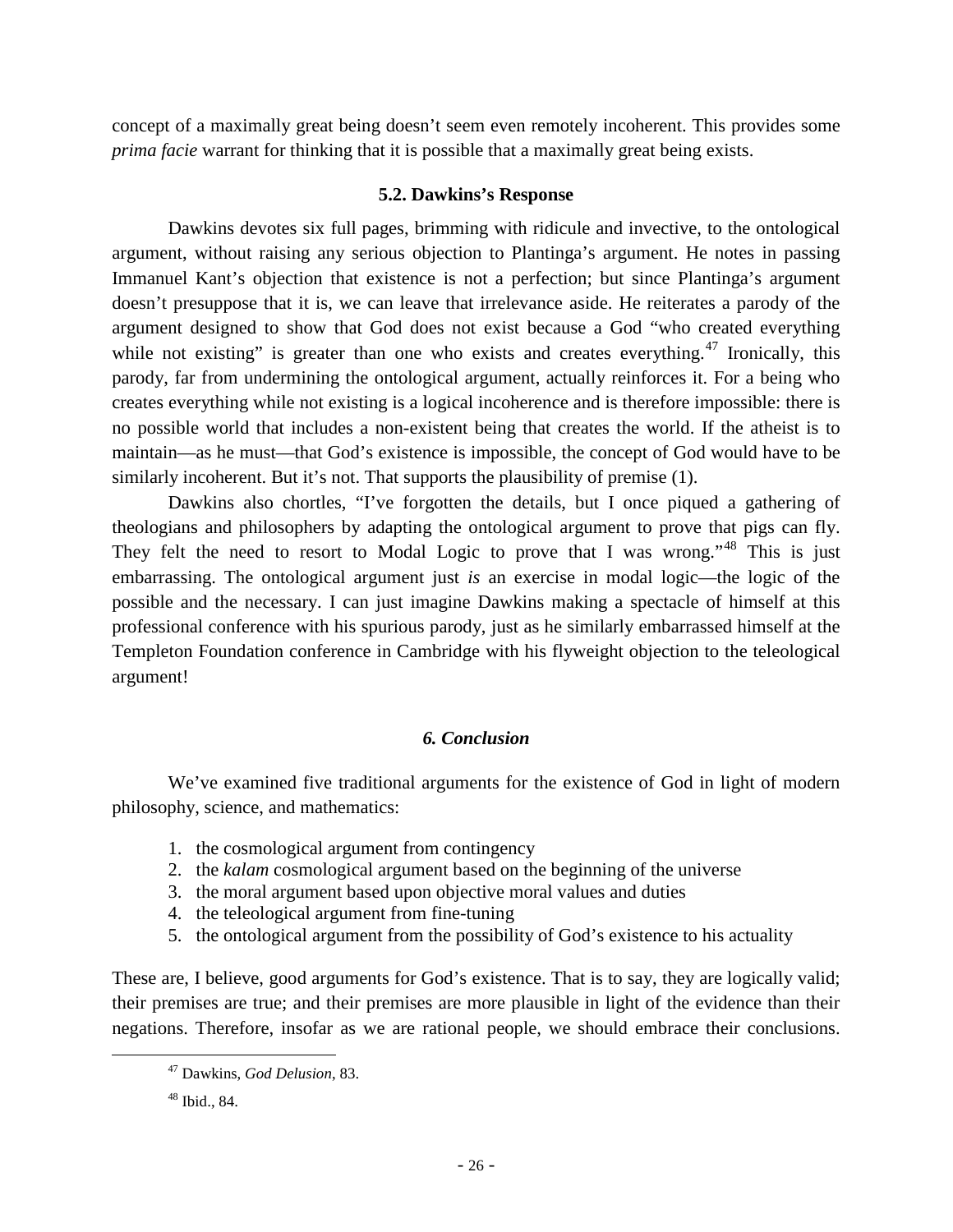concept of a maximally great being doesn't seem even remotely incoherent. This provides some *prima facie* warrant for thinking that it is possible that a maximally great being exists.

### **5.2. Dawkins's Response**

Dawkins devotes six full pages, brimming with ridicule and invective, to the ontological argument, without raising any serious objection to Plantinga's argument. He notes in passing Immanuel Kant's objection that existence is not a perfection; but since Plantinga's argument doesn't presuppose that it is, we can leave that irrelevance aside. He reiterates a parody of the argument designed to show that God does not exist because a God "who created everything while not existing" is greater than one who exists and creates everything. $47$  Ironically, this parody, far from undermining the ontological argument, actually reinforces it. For a being who creates everything while not existing is a logical incoherence and is therefore impossible: there is no possible world that includes a non-existent being that creates the world. If the atheist is to maintain—as he must—that God's existence is impossible, the concept of God would have to be similarly incoherent. But it's not. That supports the plausibility of premise (1).

Dawkins also chortles, "I've forgotten the details, but I once piqued a gathering of theologians and philosophers by adapting the ontological argument to prove that pigs can fly. They felt the need to resort to Modal Logic to prove that I was wrong."<sup>[48](#page-25-1)</sup> This is just embarrassing. The ontological argument just *is* an exercise in modal logic—the logic of the possible and the necessary. I can just imagine Dawkins making a spectacle of himself at this professional conference with his spurious parody, just as he similarly embarrassed himself at the Templeton Foundation conference in Cambridge with his flyweight objection to the teleological argument!

## *6. Conclusion*

We've examined five traditional arguments for the existence of God in light of modern philosophy, science, and mathematics:

- 1. the cosmological argument from contingency
- 2. the *kalam* cosmological argument based on the beginning of the universe
- 3. the moral argument based upon objective moral values and duties
- 4. the teleological argument from fine-tuning
- 5. the ontological argument from the possibility of God's existence to his actuality

<span id="page-25-1"></span><span id="page-25-0"></span>These are, I believe, good arguments for God's existence. That is to say, they are logically valid; their premises are true; and their premises are more plausible in light of the evidence than their negations. Therefore, insofar as we are rational people, we should embrace their conclusions.

 <sup>47</sup> Dawkins, *God Delusion*, 83.

 $48$  Ibid., 84.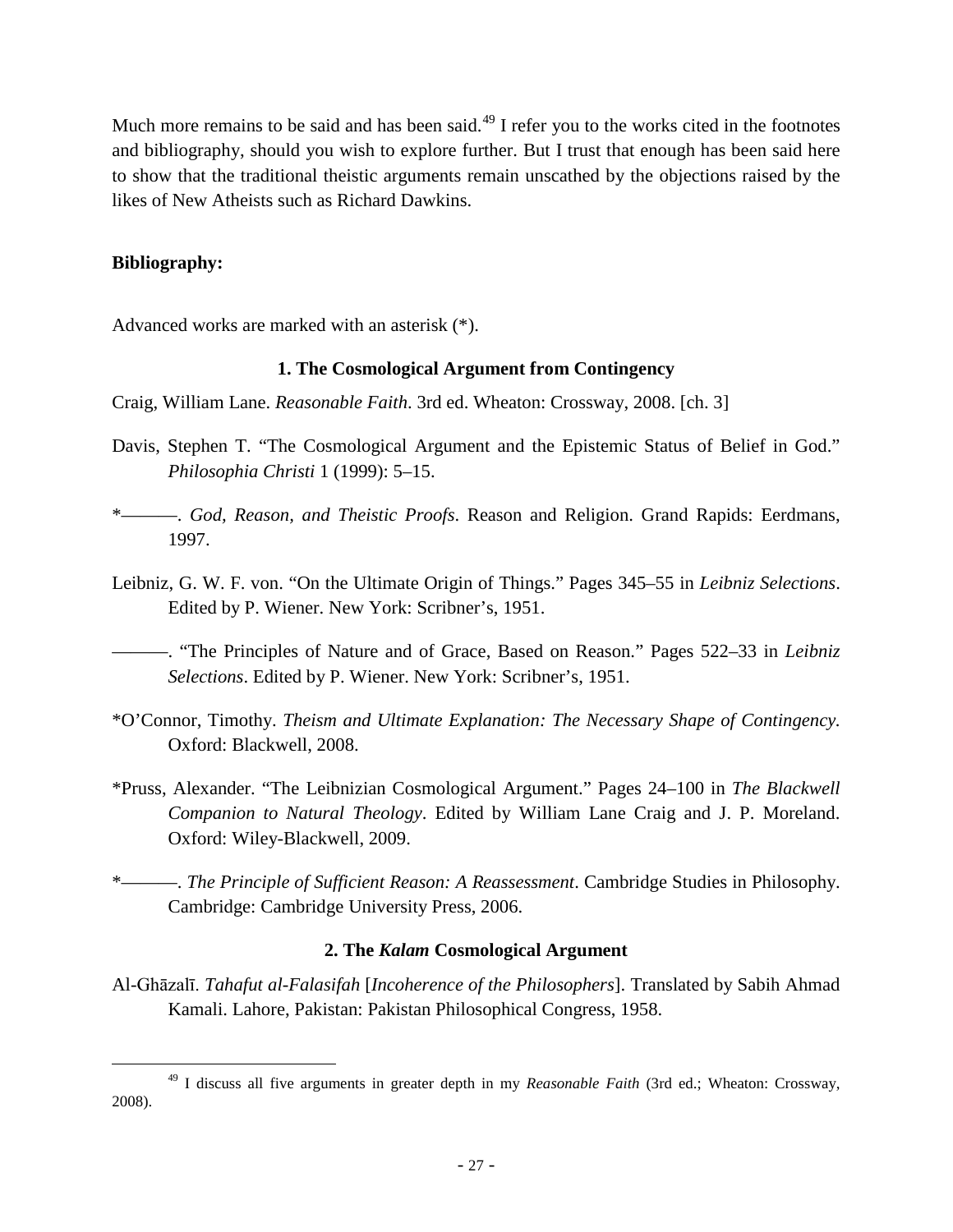Much more remains to be said and has been said.<sup>[49](#page-26-0)</sup> I refer you to the works cited in the footnotes and bibliography, should you wish to explore further. But I trust that enough has been said here to show that the traditional theistic arguments remain unscathed by the objections raised by the likes of New Atheists such as Richard Dawkins.

## **Bibliography:**

Advanced works are marked with an asterisk (\*).

## **1. The Cosmological Argument from Contingency**

- Craig, William Lane. *Reasonable Faith*. 3rd ed. Wheaton: Crossway, 2008. [ch. 3]
- Davis, Stephen T. "The Cosmological Argument and the Epistemic Status of Belief in God." *Philosophia Christi* 1 (1999): 5–15.
- \*———. *God, Reason, and Theistic Proofs*. Reason and Religion. Grand Rapids: Eerdmans, 1997.
- Leibniz, G. W. F. von. "On the Ultimate Origin of Things." Pages 345–55 in *Leibniz Selections*. Edited by P. Wiener. New York: Scribner's, 1951.

———. "The Principles of Nature and of Grace, Based on Reason." Pages 522–33 in *Leibniz Selections*. Edited by P. Wiener. New York: Scribner's, 1951.

- \*O'Connor, Timothy. *Theism and Ultimate Explanation: The Necessary Shape of Contingency.* Oxford: Blackwell, 2008.
- \*Pruss, Alexander. "The Leibnizian Cosmological Argument." Pages 24–100 in *The Blackwell Companion to Natural Theology*. Edited by William Lane Craig and J. P. Moreland. Oxford: Wiley-Blackwell, 2009.
- \*———. *The Principle of Sufficient Reason: A Reassessment*. Cambridge Studies in Philosophy. Cambridge: Cambridge University Press, 2006.

# **2. The** *Kalam* **Cosmological Argument**

Al-Ghāzalī. *Tahafut al-Falasifah* [*Incoherence of the Philosophers*]. Translated by Sabih Ahmad Kamali. Lahore, Pakistan: Pakistan Philosophical Congress, 1958.

<span id="page-26-0"></span> <sup>49</sup> I discuss all five arguments in greater depth in my *Reasonable Faith* (3rd ed.; Wheaton: Crossway, 2008).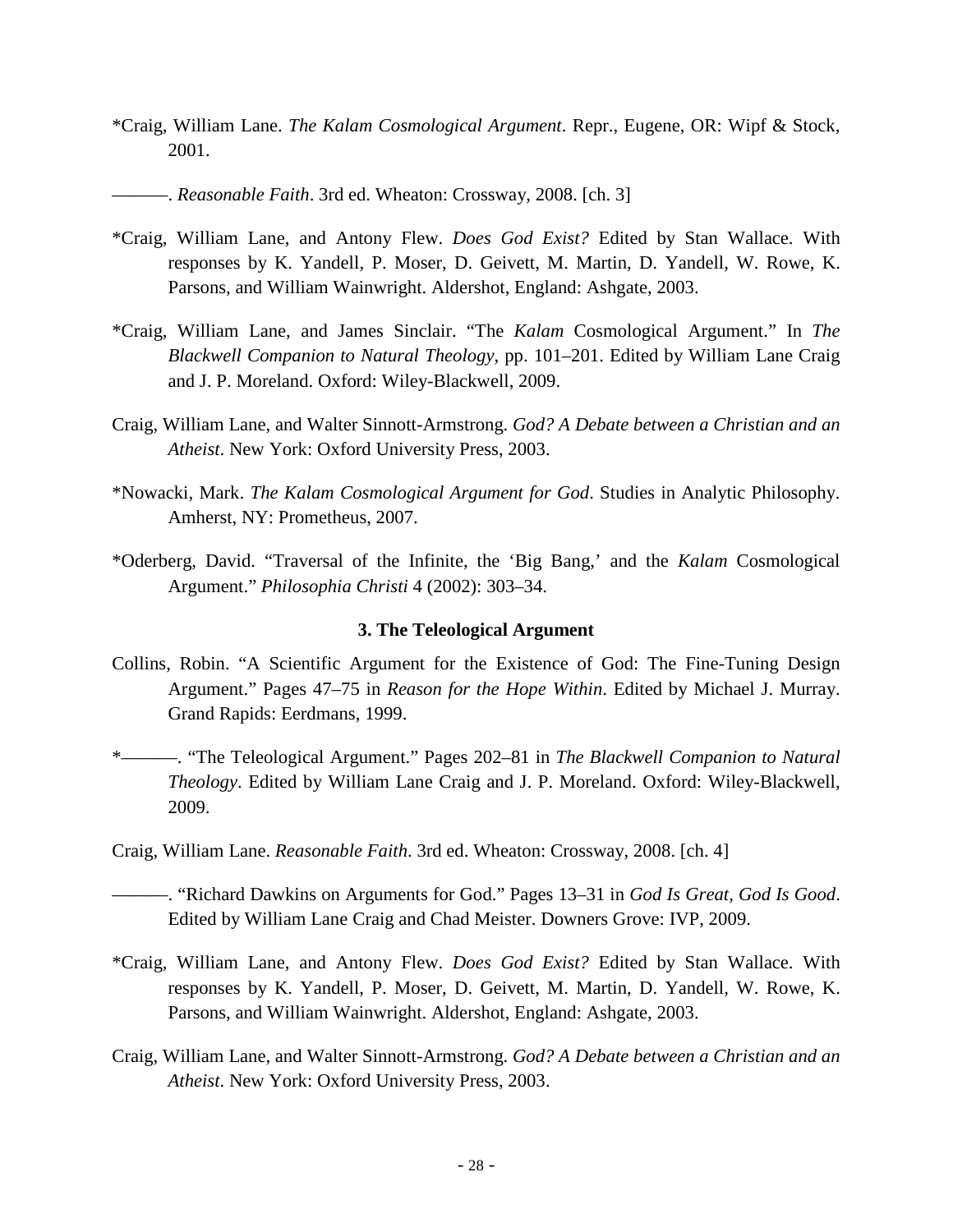\*Craig, William Lane. *The Kalam Cosmological Argument*. Repr., Eugene, OR: Wipf & Stock, 2001.

———. *Reasonable Faith*. 3rd ed. Wheaton: Crossway, 2008. [ch. 3]

- \*Craig, William Lane, and Antony Flew. *Does God Exist?* Edited by Stan Wallace. With responses by K. Yandell, P. Moser, D. Geivett, M. Martin, D. Yandell, W. Rowe, K. Parsons, and William Wainwright. Aldershot, England: Ashgate, 2003.
- \*Craig, William Lane, and James Sinclair. "The *Kalam* Cosmological Argument." In *The Blackwell Companion to Natural Theology*, pp. 101–201. Edited by William Lane Craig and J. P. Moreland. Oxford: Wiley-Blackwell, 2009.
- Craig, William Lane, and Walter Sinnott-Armstrong. *God? A Debate between a Christian and an Atheist*. New York: Oxford University Press, 2003.
- \*Nowacki, Mark. *The Kalam Cosmological Argument for God*. Studies in Analytic Philosophy. Amherst, NY: Prometheus, 2007.
- \*Oderberg, David. "Traversal of the Infinite, the 'Big Bang,' and the *Kalam* Cosmological Argument." *Philosophia Christi* 4 (2002): 303–34.

### **3. The Teleological Argument**

- Collins, Robin. "A Scientific Argument for the Existence of God: The Fine-Tuning Design Argument." Pages 47–75 in *Reason for the Hope Within*. Edited by Michael J. Murray. Grand Rapids: Eerdmans, 1999.
- \*———. "The Teleological Argument." Pages 202–81 in *The Blackwell Companion to Natural Theology*. Edited by William Lane Craig and J. P. Moreland. Oxford: Wiley-Blackwell, 2009.

Craig, William Lane. *Reasonable Faith*. 3rd ed. Wheaton: Crossway, 2008. [ch. 4]

———. "Richard Dawkins on Arguments for God." Pages 13–31 in *God Is Great, God Is Good*. Edited by William Lane Craig and Chad Meister. Downers Grove: IVP, 2009.

- \*Craig, William Lane, and Antony Flew. *Does God Exist?* Edited by Stan Wallace. With responses by K. Yandell, P. Moser, D. Geivett, M. Martin, D. Yandell, W. Rowe, K. Parsons, and William Wainwright. Aldershot, England: Ashgate, 2003.
- Craig, William Lane, and Walter Sinnott-Armstrong. *God? A Debate between a Christian and an Atheist*. New York: Oxford University Press, 2003.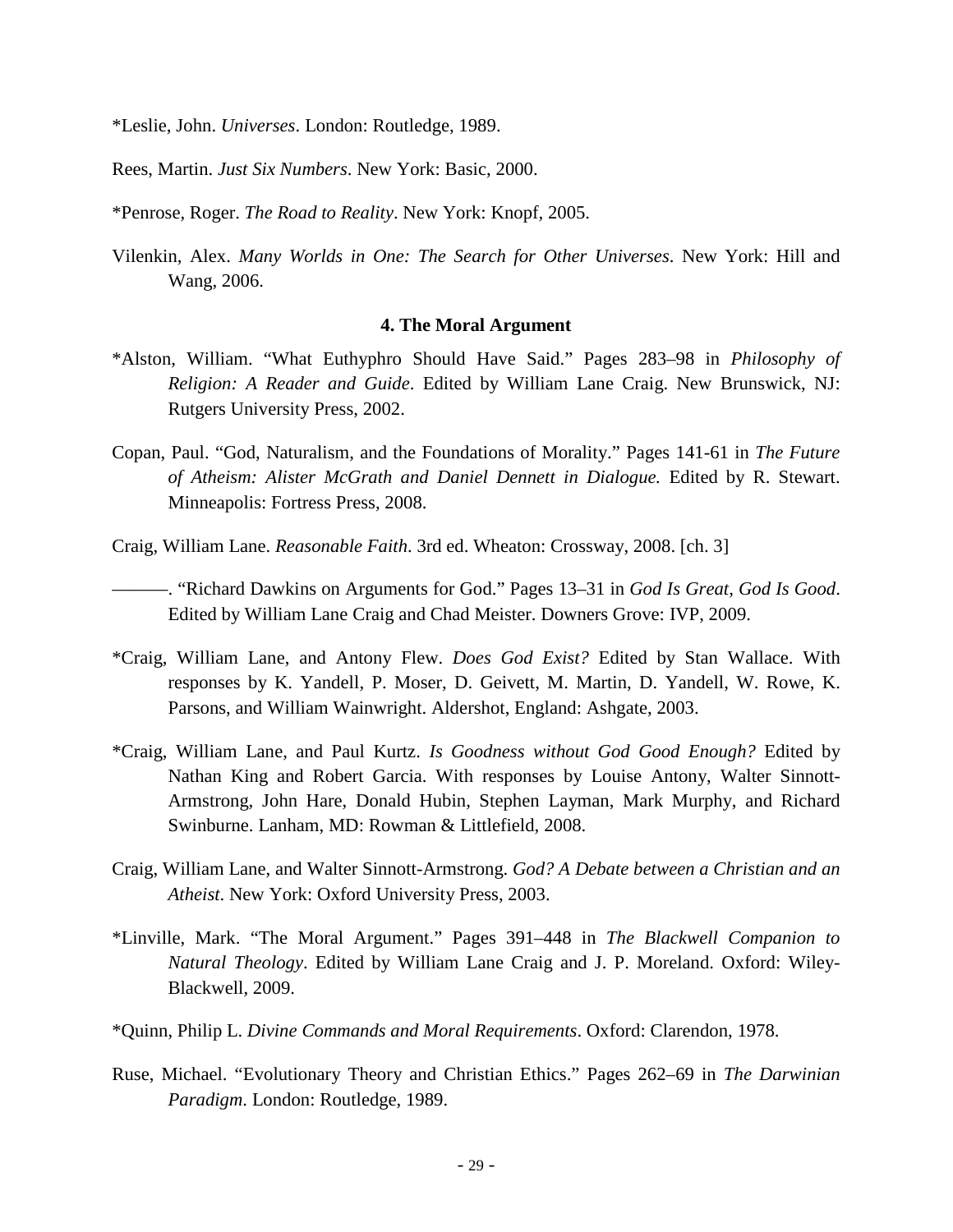\*Leslie, John. *Universes*. London: Routledge, 1989.

Rees, Martin. *Just Six Numbers*. New York: Basic, 2000.

\*Penrose, Roger. *The Road to Reality*. New York: Knopf, 2005.

Vilenkin, Alex. *Many Worlds in One: The Search for Other Universes*. New York: Hill and Wang, 2006.

#### **4. The Moral Argument**

- \*Alston, William. "What Euthyphro Should Have Said." Pages 283–98 in *Philosophy of Religion: A Reader and Guide*. Edited by William Lane Craig. New Brunswick, NJ: Rutgers University Press, 2002.
- Copan, Paul. "God, Naturalism, and the Foundations of Morality." Pages 141-61 in *The Future of Atheism: Alister McGrath and Daniel Dennett in Dialogue.* Edited by R. Stewart. Minneapolis: Fortress Press, 2008.
- Craig, William Lane. *Reasonable Faith*. 3rd ed. Wheaton: Crossway, 2008. [ch. 3]
- ———. "Richard Dawkins on Arguments for God." Pages 13–31 in *God Is Great, God Is Good*. Edited by William Lane Craig and Chad Meister. Downers Grove: IVP, 2009.
- \*Craig, William Lane, and Antony Flew. *Does God Exist?* Edited by Stan Wallace. With responses by K. Yandell, P. Moser, D. Geivett, M. Martin, D. Yandell, W. Rowe, K. Parsons, and William Wainwright. Aldershot, England: Ashgate, 2003.
- \*Craig, William Lane, and Paul Kurtz. *Is Goodness without God Good Enough?* Edited by Nathan King and Robert Garcia. With responses by Louise Antony, Walter Sinnott-Armstrong, John Hare, Donald Hubin, Stephen Layman, Mark Murphy, and Richard Swinburne. Lanham, MD: Rowman & Littlefield, 2008.
- Craig, William Lane, and Walter Sinnott-Armstrong. *God? A Debate between a Christian and an Atheist*. New York: Oxford University Press, 2003.
- \*Linville, Mark. "The Moral Argument." Pages 391–448 in *The Blackwell Companion to Natural Theology*. Edited by William Lane Craig and J. P. Moreland. Oxford: Wiley-Blackwell, 2009.
- \*Quinn, Philip L. *Divine Commands and Moral Requirements*. Oxford: Clarendon, 1978.
- Ruse, Michael. "Evolutionary Theory and Christian Ethics." Pages 262–69 in *The Darwinian Paradigm*. London: Routledge, 1989.